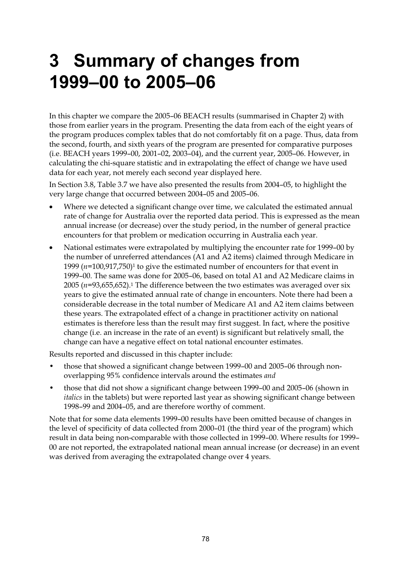# **3 Summary of changes from 1999–00 to 2005–06**

In this chapter we compare the 2005–06 BEACH results (summarised in Chapter 2) with those from earlier years in the program. Presenting the data from each of the eight years of the program produces complex tables that do not comfortably fit on a page. Thus, data from the second, fourth, and sixth years of the program are presented for comparative purposes (i.e. BEACH years 1999–00, 2001–02, 2003–04), and the current year, 2005–06. However, in calculating the chi-square statistic and in extrapolating the effect of change we have used data for each year, not merely each second year displayed here.

In Section 3.8, Table 3.7 we have also presented the results from 2004–05, to highlight the very large change that occurred between 2004–05 and 2005–06.

- Where we detected a significant change over time, we calculated the estimated annual rate of change for Australia over the reported data period. This is expressed as the mean annual increase (or decrease) over the study period, in the number of general practice encounters for that problem or medication occurring in Australia each year.
- National estimates were extrapolated by multiplying the encounter rate for 1999–00 by the number of unreferred attendances (A1 and A2 items) claimed through Medicare in 1999  $(n=100,917,750)^1$  to give the estimated number of encounters for that event in 1999–00. The same was done for 2005–06, based on total A1 and A2 Medicare claims in  $2005$  ( $n=93,655,652$ ).<sup>1</sup> The difference between the two estimates was averaged over six years to give the estimated annual rate of change in encounters. Note there had been a considerable decrease in the total number of Medicare A1 and A2 item claims between these years. The extrapolated effect of a change in practitioner activity on national estimates is therefore less than the result may first suggest. In fact, where the positive change (i.e. an increase in the rate of an event) is significant but relatively small, the change can have a negative effect on total national encounter estimates.

Results reported and discussed in this chapter include:

- those that showed a significant change between 1999–00 and 2005–06 through nonoverlapping 95% confidence intervals around the estimates *and*
- those that did not show a significant change between 1999–00 and 2005–06 (shown in *italics* in the tablets) but were reported last year as showing significant change between 1998–99 and 2004–05, and are therefore worthy of comment.

Note that for some data elements 1999–00 results have been omitted because of changes in the level of specificity of data collected from 2000–01 (the third year of the program) which result in data being non-comparable with those collected in 1999–00. Where results for 1999– 00 are not reported, the extrapolated national mean annual increase (or decrease) in an event was derived from averaging the extrapolated change over 4 years.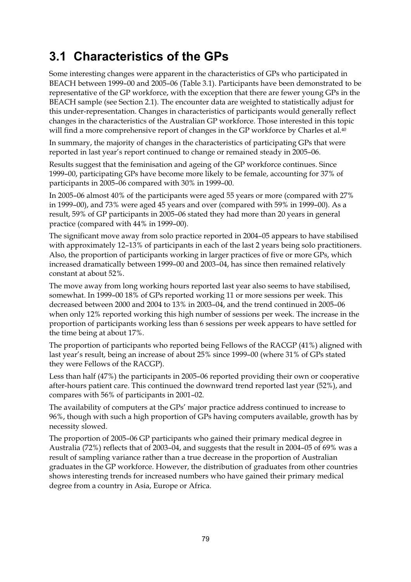## **3.1 Characteristics of the GPs**

Some interesting changes were apparent in the characteristics of GPs who participated in BEACH between 1999–00 and 2005–06 (Table 3.1). Participants have been demonstrated to be representative of the GP workforce, with the exception that there are fewer young GPs in the BEACH sample (see Section 2.1). The encounter data are weighted to statistically adjust for this under-representation. Changes in characteristics of participants would generally reflect changes in the characteristics of the Australian GP workforce. Those interested in this topic will find a more comprehensive report of changes in the GP workforce by Charles et al.<sup>40</sup>

In summary, the majority of changes in the characteristics of participating GPs that were reported in last year's report continued to change or remained steady in 2005–06.

Results suggest that the feminisation and ageing of the GP workforce continues. Since 1999–00, participating GPs have become more likely to be female, accounting for 37% of participants in 2005–06 compared with 30% in 1999–00.

In 2005–06 almost 40% of the participants were aged 55 years or more (compared with 27% in 1999–00), and 73% were aged 45 years and over (compared with 59% in 1999–00). As a result, 59% of GP participants in 2005–06 stated they had more than 20 years in general practice (compared with 44% in 1999–00).

The significant move away from solo practice reported in 2004–05 appears to have stabilised with approximately 12–13% of participants in each of the last 2 years being solo practitioners. Also, the proportion of participants working in larger practices of five or more GPs, which increased dramatically between 1999–00 and 2003–04, has since then remained relatively constant at about 52%.

The move away from long working hours reported last year also seems to have stabilised, somewhat. In 1999–00 18% of GPs reported working 11 or more sessions per week. This decreased between 2000 and 2004 to 13% in 2003–04, and the trend continued in 2005–06 when only 12% reported working this high number of sessions per week. The increase in the proportion of participants working less than 6 sessions per week appears to have settled for the time being at about 17%.

The proportion of participants who reported being Fellows of the RACGP (41%) aligned with last year's result, being an increase of about 25% since 1999–00 (where 31% of GPs stated they were Fellows of the RACGP).

Less than half (47%) the participants in 2005–06 reported providing their own or cooperative after-hours patient care. This continued the downward trend reported last year (52%), and compares with 56% of participants in 2001–02.

The availability of computers at the GPs' major practice address continued to increase to 96%, though with such a high proportion of GPs having computers available, growth has by necessity slowed.

The proportion of 2005–06 GP participants who gained their primary medical degree in Australia (72%) reflects that of 2003–04, and suggests that the result in 2004–05 of 69% was a result of sampling variance rather than a true decrease in the proportion of Australian graduates in the GP workforce. However, the distribution of graduates from other countries shows interesting trends for increased numbers who have gained their primary medical degree from a country in Asia, Europe or Africa.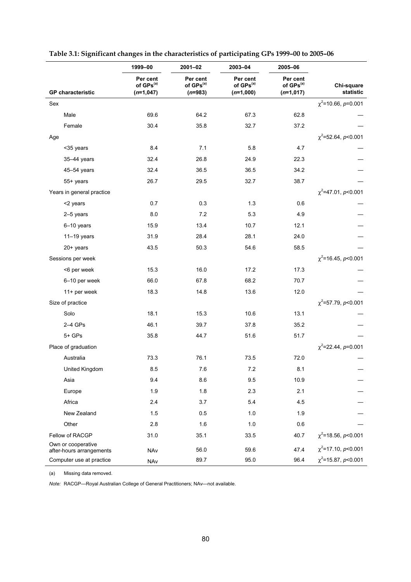|                                                | 1999-00                                           | $2001 - 02$                                    | 2003-04                                          | 2005-06                                          |                          |
|------------------------------------------------|---------------------------------------------------|------------------------------------------------|--------------------------------------------------|--------------------------------------------------|--------------------------|
| <b>GP</b> characteristic                       | Per cent<br>of GPs <sup>(a)</sup><br>$(n=1, 047)$ | Per cent<br>of GPs <sup>(a)</sup><br>$(n=983)$ | Per cent<br>of GPs <sup>(a)</sup><br>$(n=1,000)$ | Per cent<br>of GPs <sup>(a)</sup><br>$(n=1,017)$ | Chi-square<br>statistic  |
| Sex                                            |                                                   |                                                |                                                  |                                                  | $\chi^2$ =10.66, p=0.001 |
| Male                                           | 69.6                                              | 64.2                                           | 67.3                                             | 62.8                                             |                          |
| Female                                         | 30.4                                              | 35.8                                           | 32.7                                             | 37.2                                             |                          |
| Age                                            |                                                   |                                                |                                                  |                                                  | $\chi^2$ =52.64, p<0.001 |
| <35 years                                      | 8.4                                               | 7.1                                            | 5.8                                              | 4.7                                              |                          |
| 35-44 years                                    | 32.4                                              | 26.8                                           | 24.9                                             | 22.3                                             |                          |
| 45-54 years                                    | 32.4                                              | 36.5                                           | 36.5                                             | 34.2                                             |                          |
| 55+ years                                      | 26.7                                              | 29.5                                           | 32.7                                             | 38.7                                             |                          |
| Years in general practice                      |                                                   |                                                |                                                  |                                                  | $\chi^2$ =47.01, p<0.001 |
| <2 years                                       | 0.7                                               | 0.3                                            | 1.3                                              | 0.6                                              |                          |
| 2-5 years                                      | 8.0                                               | 7.2                                            | 5.3                                              | 4.9                                              |                          |
| 6-10 years                                     | 15.9                                              | 13.4                                           | 10.7                                             | 12.1                                             |                          |
| $11-19$ years                                  | 31.9                                              | 28.4                                           | 28.1                                             | 24.0                                             |                          |
| 20+ years                                      | 43.5                                              | 50.3                                           | 54.6                                             | 58.5                                             |                          |
| Sessions per week                              |                                                   |                                                |                                                  |                                                  | $\chi^2$ =16.45, p<0.001 |
| <6 per week                                    | 15.3                                              | 16.0                                           | 17.2                                             | 17.3                                             |                          |
| 6-10 per week                                  | 66.0                                              | 67.8                                           | 68.2                                             | 70.7                                             |                          |
| 11+ per week                                   | 18.3                                              | 14.8                                           | 13.6                                             | 12.0                                             |                          |
| Size of practice                               |                                                   |                                                |                                                  |                                                  | $\chi^2$ =57.79, p<0.001 |
| Solo                                           | 18.1                                              | 15.3                                           | 10.6                                             | 13.1                                             |                          |
| $2-4$ GPs                                      | 46.1                                              | 39.7                                           | 37.8                                             | 35.2                                             |                          |
| $5+GPs$                                        | 35.8                                              | 44.7                                           | 51.6                                             | 51.7                                             |                          |
| Place of graduation                            |                                                   |                                                |                                                  |                                                  | $\chi^2$ =22.44, p=0.001 |
| Australia                                      | 73.3                                              | 76.1                                           | 73.5                                             | 72.0                                             |                          |
| United Kingdom                                 | 8.5                                               | 7.6                                            | $7.2\,$                                          | 8.1                                              |                          |
| Asia                                           | 9.4                                               | 8.6                                            | 9.5                                              | 10.9                                             |                          |
| Europe                                         | 1.9                                               | 1.8                                            | 2.3                                              | 2.1                                              |                          |
| Africa                                         | 2.4                                               | 3.7                                            | 5.4                                              | 4.5                                              |                          |
| New Zealand                                    | 1.5                                               | 0.5                                            | 1.0                                              | 1.9                                              |                          |
| Other                                          | 2.8                                               | 1.6                                            | 1.0                                              | 0.6                                              |                          |
| Fellow of RACGP                                | 31.0                                              | 35.1                                           | 33.5                                             | 40.7                                             | $\chi^2$ =18.56, p<0.001 |
| Own or cooperative<br>after-hours arrangements | NAv                                               | 56.0                                           | 59.6                                             | 47.4                                             | $\chi^2$ =17.10, p<0.001 |
| Computer use at practice                       | NAv                                               | 89.7                                           | 95.0                                             | 96.4                                             | $\chi^2$ =15.87, p<0.001 |

#### **Table 3.1: Significant changes in the characteristics of participating GPs 1999–00 to 2005–06**

(a) Missing data removed.

*Note:* RACGP—Royal Australian College of General Practitioners; NAv—not available.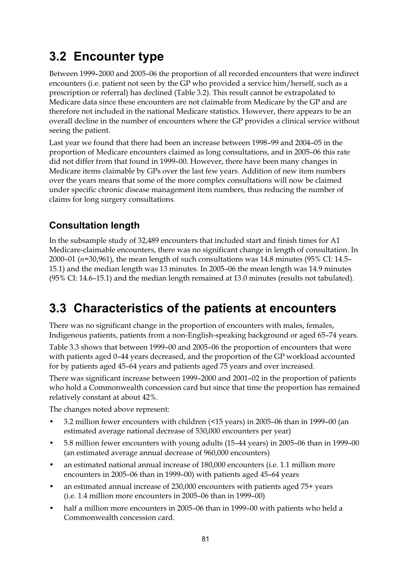# **3.2 Encounter type**

Between 1999–2000 and 2005–06 the proportion of all recorded encounters that were indirect encounters (i.e. patient not seen by the GP who provided a service him/herself, such as a prescription or referral) has declined (Table 3.2). This result cannot be extrapolated to Medicare data since these encounters are not claimable from Medicare by the GP and are therefore not included in the national Medicare statistics. However, there appears to be an overall decline in the number of encounters where the GP provides a clinical service without seeing the patient.

Last year we found that there had been an increase between 1998–99 and 2004–05 in the proportion of Medicare encounters claimed as long consultations, and in 2005–06 this rate did not differ from that found in 1999–00. However, there have been many changes in Medicare items claimable by GPs over the last few years. Addition of new item numbers over the years means that some of the more complex consultations will now be claimed under specific chronic disease management item numbers, thus reducing the number of claims for long surgery consultations.

#### **Consultation length**

In the subsample study of 32,489 encounters that included start and finish times for A1 Medicare-claimable encounters, there was no significant change in length of consultation. In 2000–01 (*n*=30,961), the mean length of such consultations was 14.8 minutes (95% CI: 14.5– 15.1) and the median length was 13 minutes. In 2005–06 the mean length was 14.9 minutes (95% CI: 14.6–15.1) and the median length remained at 13.0 minutes (results not tabulated).

## **3.3 Characteristics of the patients at encounters**

There was no significant change in the proportion of encounters with males, females, Indigenous patients, patients from a non-English-speaking background or aged 65–74 years.

Table 3.3 shows that between 1999–00 and 2005–06 the proportion of encounters that were with patients aged 0–44 years decreased, and the proportion of the GP workload accounted for by patients aged 45–64 years and patients aged 75 years and over increased.

There was significant increase between 1999–2000 and 2001–02 in the proportion of patients who hold a Commonwealth concession card but since that time the proportion has remained relatively constant at about 42%.

The changes noted above represent:

- 3.2 million fewer encounters with children (<15 years) in 2005–06 than in 1999–00 (an estimated average national decrease of 530,000 encounters per year)
- 5.8 million fewer encounters with young adults (15–44 years) in 2005–06 than in 1999–00 (an estimated average annual decrease of 960,000 encounters)
- an estimated national annual increase of 180,000 encounters (i.e. 1.1 million more encounters in 2005–06 than in 1999–00) with patients aged 45–64 years
- an estimated annual increase of 230,000 encounters with patients aged 75+ years (i.e. 1.4 million more encounters in 2005–06 than in 1999–00)
- half a million more encounters in 2005–06 than in 1999–00 with patients who held a Commonwealth concession card.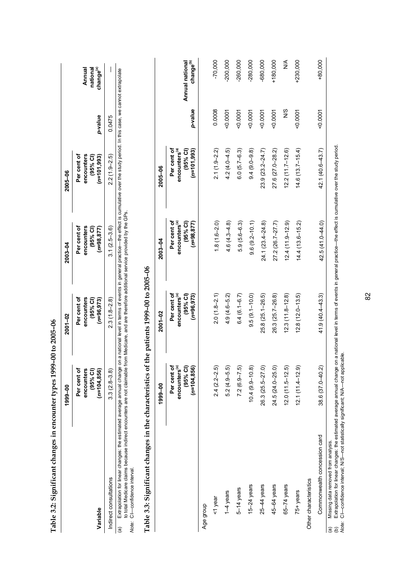|                                                                                                                                                                                                                                                                                                                                                                                                                              | 1999-00                                                               | 2001-02                                                                | 2003-04                                                               | 2005-06                                                                  |               |                                             |
|------------------------------------------------------------------------------------------------------------------------------------------------------------------------------------------------------------------------------------------------------------------------------------------------------------------------------------------------------------------------------------------------------------------------------|-----------------------------------------------------------------------|------------------------------------------------------------------------|-----------------------------------------------------------------------|--------------------------------------------------------------------------|---------------|---------------------------------------------|
| Variable                                                                                                                                                                                                                                                                                                                                                                                                                     | Per cent of<br>encounters<br>(95% Cl)<br>$(n=104, 856)$               | Per cent of<br>encounters<br>$(95%$ CI)<br>$(n=96,973)$                | Per cent of<br>encounters<br>$(95%$ CI)<br>$(n=98, 877)$              | Per cent of<br>encounters<br>(95% Cl)<br>$(n=101, 993)$                  | p-value       | Annual<br>national<br>change <sup>(a)</sup> |
| Indirect consultations                                                                                                                                                                                                                                                                                                                                                                                                       | $3.3(2.8 - 3.8)$                                                      | $2.3(1.8-2.8)$                                                         | $3.1(2.5 - 3.6)$                                                      | $2.2(1.9-2.5)$                                                           | 0.0475        |                                             |
| Extrapolation for linear changes: the estimated average annual change on a national level in terms of events in general practice—the effect is cumulative over the study period. In this case, we cannot extrapolate<br>to total Medicare claims because indirect encounters are not claimable from Medicare, and are therefore additional service provided by the GPs.<br>CI-confidence interval.<br>Note:<br>$\widehat{a}$ |                                                                       |                                                                        |                                                                       |                                                                          |               |                                             |
| Table 3.3: Significant changes in the characteristics of                                                                                                                                                                                                                                                                                                                                                                     |                                                                       | the patients 1999-00 to 2005-06                                        |                                                                       |                                                                          |               |                                             |
|                                                                                                                                                                                                                                                                                                                                                                                                                              | 1999-00                                                               | 2001-02                                                                | 2003-04                                                               | 2005-06                                                                  |               |                                             |
|                                                                                                                                                                                                                                                                                                                                                                                                                              | encounters <sup>(a)</sup><br>Per cent of<br>(95% C)<br>$(n=104, 856)$ | Per cent of<br>encounters <sup>(a)</sup><br>$(95%$ Cl)<br>$(n=96,973)$ | Per cent of<br>(95% Cl)<br>encounters <sup>(a)</sup><br>$(n=98, 877)$ | Per cent of<br>encounters <sup>(a)</sup><br>$(95%$ CI)<br>$(n=101, 993)$ | p-value       | change <sup>(b)</sup><br>Annual national    |
| Age group                                                                                                                                                                                                                                                                                                                                                                                                                    |                                                                       |                                                                        |                                                                       |                                                                          |               |                                             |
| <1 year                                                                                                                                                                                                                                                                                                                                                                                                                      | $2.4(2.2-2.5)$                                                        | $2.0(1.8-2.1)$                                                         | $1.8(1.6 - 2.0)$                                                      | $2.1(1.9 - 2.2)$                                                         | 0.0008        | $-70,000$                                   |
| 1–4 years                                                                                                                                                                                                                                                                                                                                                                                                                    | $5.2(4.9 - 5.5)$                                                      | $4.9(4.6 - 5.2)$                                                       | $4.6(4.3 - 4.8)$                                                      | $4.2(4.0 - 4.5)$                                                         | $-0.0001$     | $-200,000$                                  |
| 5-14 years                                                                                                                                                                                                                                                                                                                                                                                                                   | $7.2(6.9 - 7.5)$                                                      | $6.4(6.1 - 6.7)$                                                       | $5.9(5.6-6.3)$                                                        | $6.0(5.7-6.3)$                                                           | 0.0001        | $-260,000$                                  |
| 15 $-24$ years                                                                                                                                                                                                                                                                                                                                                                                                               | $10.4(9.9 - 10.8)$                                                    | $9.5(9.1 - 10.0)$                                                      | $9.6(9.2 - 10.1)$                                                     | $9.4(9.0 - 9.8)$                                                         | 0.0001        | $-280,000$                                  |
| 25-44 years                                                                                                                                                                                                                                                                                                                                                                                                                  | 26.3 (25.5-27.0)                                                      | 25.8 (25.1-26.5)                                                       | 24.1 (23.4-24.8)                                                      | $23.9(23.2 - 24.7)$                                                      | $-0.0001$     | -680,000                                    |
| 45-64 years                                                                                                                                                                                                                                                                                                                                                                                                                  | 24.5 (24.0-25.0)                                                      | 26.3 (25.7-26.8)                                                       | 27.2 (26.7-27.7)                                                      | 27.6 (27.0-28.2)                                                         | $-0.0001$     | $+180,000$                                  |
| $65 - 74$ years                                                                                                                                                                                                                                                                                                                                                                                                              | $12.0(11.5 - 12.5)$                                                   | $12.3(11.8 - 12.8)$                                                    | $12.4(11.9 - 12.9)$                                                   | $12.2(11.7 - 12.6)$                                                      | $\frac{8}{2}$ | ⋚                                           |
| 75+ years                                                                                                                                                                                                                                                                                                                                                                                                                    | $12.1(11.4 - 12.9)$                                                   | $12.8(12.0 - 13.5)$                                                    | $14.4(13.6 - 15.2)$                                                   | $14.6(13.7 - 15.4)$                                                      | 0.0001        | $+230,000$                                  |
| Other characteristics                                                                                                                                                                                                                                                                                                                                                                                                        |                                                                       |                                                                        |                                                                       |                                                                          |               |                                             |
| Commonwealth concession card                                                                                                                                                                                                                                                                                                                                                                                                 | 38.6 (37.0-40.2)                                                      | $41.9(40.4 - 43.3)$                                                    | $42.5(41.0 - 44.0)$                                                   | 42.1 (40.6-43.7)                                                         | 0.0001        | $+80,000$                                   |
|                                                                                                                                                                                                                                                                                                                                                                                                                              |                                                                       |                                                                        |                                                                       |                                                                          |               |                                             |

Table 3.2: Significant changes in encounter types 1999-00 to 2005-06 **Table 3.2: Significant changes in encounter types 1999–00 to 2005–06** 

(a) Missing data removed from analysis.

(a) Missing data removed from analysis.<br>(b) Extrapolation for linear changes: the estimated average annual change on a national level in terms of events in general practice—the effect is cumulative over the study period.<br> (b) Extrapolation for linear changes: the estimated average annual change on a national level in terms of events in general practice—the effect is cumulative over the study period. *Note:* CI—confidence interval; N/S—not statistically significant; N/A—not applicable.

82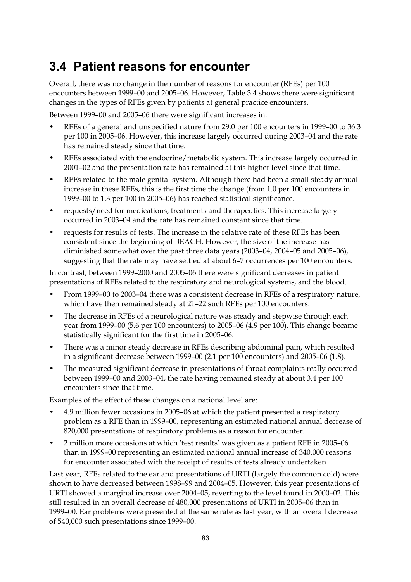## **3.4 Patient reasons for encounter**

Overall, there was no change in the number of reasons for encounter (RFEs) per 100 encounters between 1999–00 and 2005–06. However, Table 3.4 shows there were significant changes in the types of RFEs given by patients at general practice encounters.

Between 1999–00 and 2005–06 there were significant increases in:

- RFEs of a general and unspecified nature from 29.0 per 100 encounters in 1999–00 to 36.3 per 100 in 2005–06. However, this increase largely occurred during 2003–04 and the rate has remained steady since that time.
- RFEs associated with the endocrine/metabolic system. This increase largely occurred in 2001–02 and the presentation rate has remained at this higher level since that time.
- RFEs related to the male genital system. Although there had been a small steady annual increase in these RFEs, this is the first time the change (from 1.0 per 100 encounters in 1999–00 to 1.3 per 100 in 2005–06) has reached statistical significance.
- requests/need for medications, treatments and therapeutics. This increase largely occurred in 2003–04 and the rate has remained constant since that time.
- requests for results of tests. The increase in the relative rate of these RFEs has been consistent since the beginning of BEACH. However, the size of the increase has diminished somewhat over the past three data years (2003–04, 2004–05 and 2005–06), suggesting that the rate may have settled at about 6–7 occurrences per 100 encounters.

In contrast, between 1999–2000 and 2005–06 there were significant decreases in patient presentations of RFEs related to the respiratory and neurological systems, and the blood.

- From 1999–00 to 2003–04 there was a consistent decrease in RFEs of a respiratory nature, which have then remained steady at 21–22 such RFEs per 100 encounters.
- The decrease in RFEs of a neurological nature was steady and stepwise through each year from 1999–00 (5.6 per 100 encounters) to 2005–06 (4.9 per 100). This change became statistically significant for the first time in 2005–06.
- There was a minor steady decrease in RFEs describing abdominal pain, which resulted in a significant decrease between 1999–00 (2.1 per 100 encounters) and 2005–06 (1.8).
- The measured significant decrease in presentations of throat complaints really occurred between 1999–00 and 2003–04, the rate having remained steady at about 3.4 per 100 encounters since that time.

Examples of the effect of these changes on a national level are:

- 4.9 million fewer occasions in 2005–06 at which the patient presented a respiratory problem as a RFE than in 1999–00, representing an estimated national annual decrease of 820,000 presentations of respiratory problems as a reason for encounter.
- 2 million more occasions at which 'test results' was given as a patient RFE in 2005–06 than in 1999–00 representing an estimated national annual increase of 340,000 reasons for encounter associated with the receipt of results of tests already undertaken.

Last year, RFEs related to the ear and presentations of URTI (largely the common cold) were shown to have decreased between 1998–99 and 2004–05. However, this year presentations of URTI showed a marginal increase over 2004–05, reverting to the level found in 2000–02. This still resulted in an overall decrease of 480,000 presentations of URTI in 2005–06 than in 1999–00. Ear problems were presented at the same rate as last year, with an overall decrease of 540,000 such presentations since 1999–00.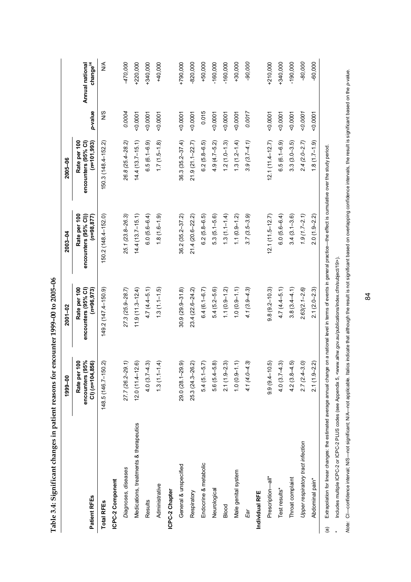|                                        | 1999-00                                                 | 2001-02                                              | 2003-04                                               | $2005 - 06$                                           |           |                                          |
|----------------------------------------|---------------------------------------------------------|------------------------------------------------------|-------------------------------------------------------|-------------------------------------------------------|-----------|------------------------------------------|
| Patient RFEs                           | Rate per 100<br>encounters (95%<br>$CI($ $(n=104, 856)$ | Rate per 100<br>encounters (95% CI)<br>$(n=96, 973)$ | Rate per 100<br>encounters (95% CI))<br>$(n=98, 877)$ | Rate per 100<br>$(n=101, 993)$<br>encounters (95% CI) | p-value   | change <sup>(a)</sup><br>Annual national |
| <b>Total RFEs</b>                      | 148.5 (146.7-150.2)                                     | $149.2(147.4-150.9)$                                 | 150.2 (148.4-152.0)                                   | 150.3 (148.4-152.2)                                   | S<br>M    | ⋚                                        |
| ICPC-2 Component                       |                                                         |                                                      |                                                       |                                                       |           |                                          |
| Diagnoses, diseases                    | 27.7 (26.2-29.1)                                        | $27.3(25.9 - 28.7)$                                  | 25.1 (23.8-26.3)                                      | 26.8 (25.4-28.2)                                      | 0.0004    | -470,000                                 |
| Medications, treatments & therapeutics | $12.0(11.4 - 12.6)$                                     | $11.9(1.3 - 12.4)$                                   | $14.4(13.7-15.1)$                                     | $14.4(13.7-15.1)$                                     | 0.0007    | $+220,000$                               |
| Results                                | $4.0(3.7 - 4.3)$                                        | $4.7(4.4-5.1)$                                       | $6.0(5.6-6.4)$                                        | $6.5(6.1 - 6.9)$                                      | 0.0001    | +340,000                                 |
| Administrative                         | $1.3(1.1 - 1.4)$                                        | $1.3(1.1 - 1.5)$                                     | $(1.8(1.6-1.9))$                                      | $1.7(1.5-1.8)$                                        | $-0.0001$ | $+40,000$                                |
| ICPC-2 Chapter                         |                                                         |                                                      |                                                       |                                                       |           |                                          |
| General & unspecified                  | 29.0 (28.1-29.9)                                        | $30.9(29.9 - 31.8)$                                  | $362(352 - 372)$                                      | $36.3(35.2 - 37.4)$                                   | $-0.0001$ | $+790,000$                               |
| Respiratory                            | 25.3 (24.3-26.2)                                        | 23.4 (22.6-24.2)                                     | 21.4 (20.6-22.2)                                      | $21.9(21.1 - 22.7)$                                   | 0.0001    | $-820,000$                               |
| Endocrine & metabolic                  | $5.4(5.1 - 5.7)$                                        | $6.4(6.1 - 6.7)$                                     | $6.2(5.8-6.5)$                                        | $6.2(5.8-6.5)$                                        | 0.015     | $+50,000$                                |
| Neurological                           | $5.6(5.4 - 5.8)$                                        | $5.4(5.2-5.6)$                                       | $5.3(5.1 - 5.6)$                                      | $4.9(4.7 - 5.2)$                                      | $-0.0007$ | $-160,000$                               |
| Blood                                  | $2.1(1.9-2.3)$                                          | $1.1(0.9 - 1.2)$                                     | $1.3(1.1 - 1.4)$                                      | $1.2(1.0 - 1.3)$                                      | 0.0007    | $-160,000$                               |
| Male genital system                    | $1.0(0.9 - 1.1)$                                        | $1.0(0.9 - 1.1)$                                     | $1.1(0.9 - 1.2)$                                      | $1.3(1.2 - 1.4)$                                      | $-0.0001$ | $+30,000$                                |
| Ear                                    | $4.1(4.0 - 4.3)$                                        | $4.1(3.9 - 4.3)$                                     | $3.7(3.5-3.9)$                                        | $3.9(3.7 - 4.1)$                                      | 0.0017    | $-90,000$                                |
| Individual RFE                         |                                                         |                                                      |                                                       |                                                       |           |                                          |
| Prescription-all*                      | $9.9(9.4 - 10.5)$                                       | $9.8(9.2 - 10.3)$                                    | $12.1(11.5-12.7)$                                     | $12.1(11.4 - 12.7)$                                   | $-0.0001$ | $+210,000$                               |
| Test results*                          | $4.0(3.7 - 4.3)$                                        | $4.7(4.4 - 5.1)$                                     | $6.0(5.6-6.4)$                                        | $6.5(6.1 - 6.9)$                                      | $-0.0001$ | +340,000                                 |
| Throat complaint                       | $4.2(3.8-4.5)$                                          | $3.8(3.4 - 4.1)$                                     | $3.4(3.1 - 3.6)$                                      | $3.3(3.0 - 3.5)$                                      | $-0.0001$ | $-190,000$                               |
| Upper respiratory tract infection      | $2.7(2.4 - 3.0)$                                        | $2.63(2.1 - 2.6)$                                    | $1.9(1.7-2.1)$                                        | $2.4(2.0-2.7)$                                        | 0.0007    | $-80,000$                                |
| Abdominal pain*                        | $2.1(1.9 - 2.2)$                                        | $2.1(2.0 - 2.3)$                                     | $2.0(1.9 - 2.2)$                                      | $1.8(1.7-1.9)$                                        | $-0.0001$ | $-60,000$                                |

Table 3.4: Significant changes in patient reasons for encounter 1999-00 to 2005-06 **Table 3.4: Significant changes in patient reasons for encounter 1999–00 to 2005–06** 

(a) Extrapolation for linear changes: the estimated average annual change on a national level in terms of events in general practice-the effect is cumulative over the study period. (a) Extrapolation for linear changes: the estimated average annual change on a national level in terms of events in general practice—the effect is cumulative over the study period. \* Includes multiple ICPC-2 or ICPC-2 PLUS codes (see Appendix 5, <www.aihw.gov.au/publications/index.cfm/subject/19>). Includes multiple ICPC-2 or ICPC-2 PLUS codes (see Appendix 5, <www.aihw.gov.au/publications/index.cfm/subject/19>).

 $\ddot{\phantom{1}}$ 

Note: CI-confidence interval; NIS-not applicable. Italicable. Italicable. Italics indicate that although the result is not significant based on overlapping confidence intervals, the result is significant based on the p-val Note: Cl-confidence interval; N/S-not significant; N/A-not spplicable. Italics indicate that although the result is not significant based on overlapping confidence intervals, the result is significant based on the p-value.

84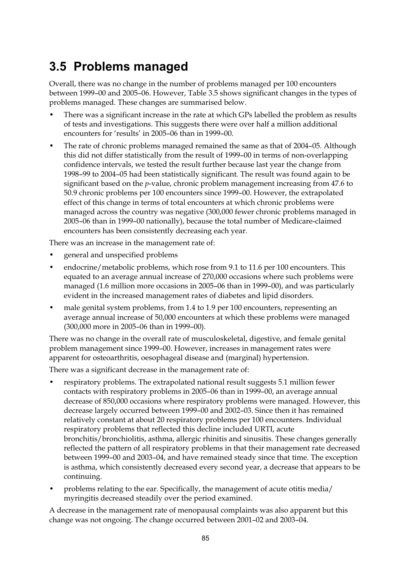## **3.5 Problems managed**

Overall, there was no change in the number of problems managed per 100 encounters between 1999–00 and 2005–06. However, Table 3.5 shows significant changes in the types of problems managed. These changes are summarised below.

- There was a significant increase in the rate at which GPs labelled the problem as results of tests and investigations. This suggests there were over half a million additional encounters for 'results' in 2005–06 than in 1999–00.
- The rate of chronic problems managed remained the same as that of 2004-05. Although this did not differ statistically from the result of 1999–00 in terms of non-overlapping confidence intervals, we tested the result further because last year the change from 1998–99 to 2004–05 had been statistically significant. The result was found again to be significant based on the *p*-value, chronic problem management increasing from 47.6 to 50.9 chronic problems per 100 encounters since 1999–00. However, the extrapolated effect of this change in terms of total encounters at which chronic problems were managed across the country was negative (300,000 fewer chronic problems managed in 2005–06 than in 1999–00 nationally), because the total number of Medicare-claimed encounters has been consistently decreasing each year.

There was an increase in the management rate of:

- general and unspecified problems
- endocrine/metabolic problems, which rose from 9.1 to 11.6 per 100 encounters. This equated to an average annual increase of 270,000 occasions where such problems were managed (1.6 million more occasions in 2005–06 than in 1999–00), and was particularly evident in the increased management rates of diabetes and lipid disorders.
- male genital system problems, from 1.4 to 1.9 per 100 encounters, representing an average annual increase of 50,000 encounters at which these problems were managed (300,000 more in 2005–06 than in 1999–00).

There was no change in the overall rate of musculoskeletal, digestive, and female genital problem management since 1999–00. However, increases in management rates were apparent for osteoarthritis, oesophageal disease and (marginal) hypertension.

There was a significant decrease in the management rate of:

- respiratory problems. The extrapolated national result suggests 5.1 million fewer contacts with respiratory problems in 2005–06 than in 1999–00, an average annual decrease of 850,000 occasions where respiratory problems were managed. However, this decrease largely occurred between 1999–00 and 2002–03. Since then it has remained relatively constant at about 20 respiratory problems per 100 encounters. Individual respiratory problems that reflected this decline included URTI, acute bronchitis/bronchiolitis, asthma, allergic rhinitis and sinusitis. These changes generally reflected the pattern of all respiratory problems in that their management rate decreased between 1999–00 and 2003–04, and have remained steady since that time. The exception is asthma, which consistently decreased every second year, a decrease that appears to be continuing.
- problems relating to the ear. Specifically, the management of acute otitis media/ myringitis decreased steadily over the period examined.

A decrease in the management rate of menopausal complaints was also apparent but this change was not ongoing. The change occurred between 2001–02 and 2003–04.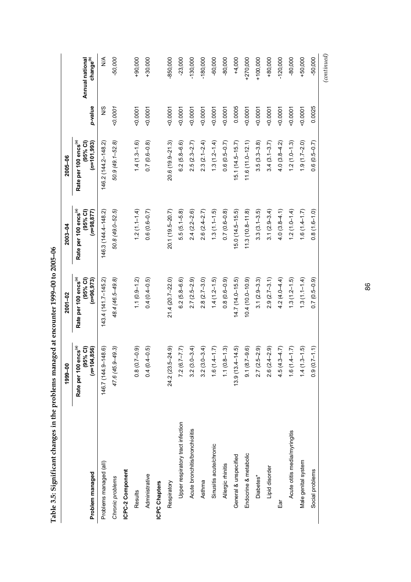| l                               |  |
|---------------------------------|--|
| ジンコン                            |  |
|                                 |  |
| <b>CONSIDENT</b><br>5           |  |
|                                 |  |
|                                 |  |
|                                 |  |
|                                 |  |
|                                 |  |
| n tha mna lama manamad at ancon |  |
|                                 |  |
|                                 |  |
|                                 |  |
|                                 |  |
| l                               |  |
|                                 |  |
|                                 |  |
|                                 |  |
|                                 |  |
|                                 |  |
|                                 |  |
|                                 |  |
|                                 |  |
|                                 |  |
|                                 |  |
| י<br> <br>                      |  |
|                                 |  |

|                                   | 1999-00                                                              | $2001 - 02$                                                   | 2003-04                                                       | 2005-06                                                          |           |                                          |
|-----------------------------------|----------------------------------------------------------------------|---------------------------------------------------------------|---------------------------------------------------------------|------------------------------------------------------------------|-----------|------------------------------------------|
| Problem managed                   | Rate per 100 encs <sup>(a)</sup><br>,856)<br>$(95%$ CI)<br>$(n=104)$ | Rate per 100 encs <sup>(a)</sup><br>(95% Cl)<br>$(n=96, 973)$ | Rate per 100 encs <sup>(a)</sup><br>$(n=98, 877)$<br>(95% Cl) | Rate per 100 encs <sup>(a)</sup><br>$(95%$ Cl)<br>$(n=101, 993)$ | p-value   | Annual national<br>change <sup>(b)</sup> |
| Problems managed (all)            | 146.7 (144.9-148.6)                                                  | $143.4(141.7 - 145.2)$                                        | 146.3 (144.4-148.2)                                           | 146.2 (144.2-148.2)                                              | N/S       | $\frac{4}{2}$                            |
| Chronic problems                  | $-49.3$<br>47.6 (45.9-                                               | 48.4 (46.5–49.8)                                              | 50.8 (49.0-52.5)                                              | 50.9 (49.1-52.8)                                                 | 0.0007    | $-50,000$                                |
| ICPC-2 Component                  |                                                                      |                                                               |                                                               |                                                                  |           |                                          |
| Results                           | $(-0.9)$<br>0.8(0.7                                                  | $1.1(0.9 - 1.2)$                                              | $1.2(1.1 - 1.4)$                                              | $1.4(1.3-1.6)$                                                   | 50.0001   | $+90,000$                                |
| Administrative                    | $0.4(0.4-0.5)$                                                       | $0.4(0.4-0.5)$                                                | $0.6(0.6-0.7)$                                                | $0.7(0.6-0.8)$                                                   | $-0.0001$ | $+30.000$                                |
| <b>ICPC Chapters</b>              |                                                                      |                                                               |                                                               |                                                                  |           |                                          |
| Respiratory                       | $-24.9$<br>24.2 (23.5-                                               | 21.4 (20.7-22.0)                                              | 20.1 (19.5-20.7)                                              | $20.6(19.9 - 21.3)$                                              | $-0.0007$ | $-850,000$                               |
| Upper respiratory tract infection | $7.2(6.7 - 7.7)$                                                     | $6.2(5.8 - 6.6)$                                              | $5.5(5.1 - 5.8)$                                              | $6.2(5.8 - 6.6)$                                                 | $-0.0007$ | $-23,000$                                |
| Acute bronchitis/bronchiolitis    | $3.2(3.0 - 3.4)$                                                     | $2.7(2.5-2.9)$                                                | $2.4(2.2-2.6)$                                                | $2.5(2.3 - 2.7)$                                                 | $-0.0001$ | $-130,000$                               |
| Asthma                            | $3.2(3.0 - 3.4)$                                                     | $2.8(2.7-3.0)$                                                | $2.6(2.4 - 2.7)$                                              | $2.3(2.1 - 2.4)$                                                 | $-0.0007$ | $-180,000$                               |
| Sinusitis acute/chronic           | $1.6(1.4 - 1.7)$                                                     | $1.4(1.2 - 1.5)$                                              | $1.3(1.1-1.5)$                                                | $1.3(1.2 - 1.4)$                                                 | $-0.0001$ | $-60,000$                                |
| Allergic rhinitis                 | $1.1(0.8 - 1.3)$                                                     | $0.8(0.6-0.9)$                                                | $0.7(0.6-0.8)$                                                | $0.6(0.5-0.7)$                                                   | $-0.0001$ | $-80,000$                                |
| General & unspecified             | $13.9(13.4 - 14.5)$                                                  | $14.7(14.0 - 15.5)$                                           | $15.0(14.5 - 15.5)$                                           | $15.1(14.5-15.7)$                                                | 0.0005    | $+4,000$                                 |
| Endocrine & metabolic             | $9.1(8.7 - 9.6)$                                                     | $(0.0 - 0.0 + 0.0 + 0.9)$                                     | $11.3(10.8 - 11.8)$                                           | $11.6(11.0 - 12.1)$                                              | 0.0007    | $+270,000$                               |
| Diabetes*                         | $2.7(2.5 - 2.9)$                                                     | $3.1(2.9-3.3)$                                                | $3.3(3.1 - 3.5)$                                              | $3.5(3.3-3.8)$                                                   | $-0.0001$ | $+100,000$                               |
| Lipid disorder                    | $2.6(2.4-2.9)$                                                       | $2.9(2.7-3.1)$                                                | $3.1(2.9-3.4)$                                                | $3.4(3.1 - 3.7)$                                                 | 0.0007    | $+80,000$                                |
| le∃                               | $4.5(4.3 - 4.7)$                                                     | $4.2(4.0 - 4.4)$                                              | $4.0(3.8 - 4.1)$                                              | $4.0(3.8-4.2)$                                                   | $-0.0001$ | $-120,000$                               |
| Acute otitis media/myringitis     | $1.6(1.4 - 1.7)$                                                     | $1.3(1.2 - 1.5)$                                              | $1.2(1.0 - 1.4)$                                              | $1.2(1.0 - 1.3)$                                                 | 0.0007    | $-80,000$                                |
| Male genital system               | $1.4(1.3-1.5)$                                                       | $1.3(1.1 - 1.4)$                                              | $1.6(1.4-1.7)$                                                | $1.9(1.7-2.0)$                                                   | $-0.0001$ | $+50,000$                                |
| Social problems                   | $0.9(0.7 - 1.1)$                                                     | $0.7(0.5-0.9)$                                                | $0.8(1.6 - 1.0)$                                              | $0.6(0.5-0.7)$                                                   | 0.0025    | $-50,000$                                |
|                                   |                                                                      |                                                               |                                                               |                                                                  |           | (continued)                              |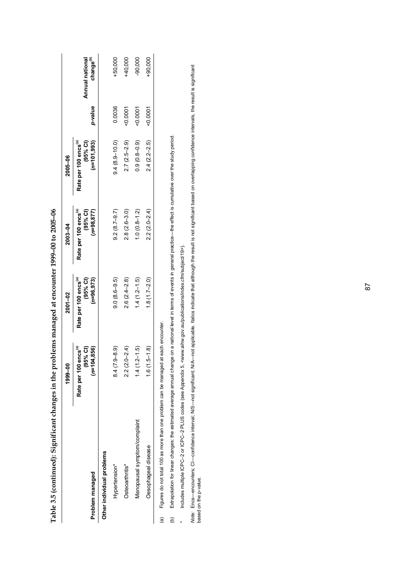|                              | 1999-00                                                        | 2001-02                                                      | 2003-04                                                       | 2005-06                                                        |           |                                          |
|------------------------------|----------------------------------------------------------------|--------------------------------------------------------------|---------------------------------------------------------------|----------------------------------------------------------------|-----------|------------------------------------------|
| Problem managed              | $(n=104, 856)$<br>Rate per 100 encs <sup>(a)</sup><br>(95% Cl) | Rate per 100 encs <sup>(a)</sup><br>(95% Cl)<br>$(n=96,973)$ | $(n=98, 877)$<br>Rate per 100 encs <sup>(a)</sup><br>(95% Cl) | Rate per 100 encs <sup>(a)</sup><br>$(n=101, 993)$<br>(95% Cl) | p-value   | change <sup>(b)</sup><br>Annual national |
| Other individual problems    |                                                                |                                                              |                                                               |                                                                |           |                                          |
| Hypertension*                | $9 - 8.9$<br>8.4(7)                                            | $9.0(8.6-9.5)$                                               | $9.2(8.7 - 9.7)$                                              | $9.4(8.9 - 10.0)$                                              | 0.0036    | $+50,000$                                |
| Osteoarthritis*              | $2.2(2.0-2.4)$                                                 | $2.6(2.4 - 2.8)$                                             | $2.8(2.6 - 3.0)$                                              | $2.7(2.5-2.9)$                                                 | :0001     | HQ,000                                   |
| Menopausal symptom/complaint | $1.4(1.2-1.5)$                                                 | $1.4(1.2 - 1.5)$                                             | $1.0(0.8-1.2)$                                                | $0.9(0.8-0.9)$                                                 | 0.0001    | $-90,000$                                |
| Oesophageal disease          | $.5 - 1.8$<br>1.6(1)                                           | $1.8(1.7-2.0)$                                               | $2.2(2.0 - 2.4)$                                              | $2.4(2.2 - 2.5)$                                               | $-0.0007$ | $+90,000$                                |
|                              |                                                                |                                                              |                                                               |                                                                |           |                                          |

**Table 3.5 (continued): Significant changes in the problems managed at encounter 1999–00 to 2005–06**  Table 3.5 (continued): Significant changes in the problems managed at encounter 1999-00 to 2005-06

Figures do not total 100 as more than one problem can be managed at each encounter. (a) Figures do not total 100 as more than one problem can be managed at each encounter.  $\Big|$   $\widehat{\mathbb{E}}$ 

(b) Extrapolation for linear changes: the estimated average annual change on a national level in terms of events in general practice—the effect is cumulative over the study period. Extrapolation for linear changes: the estimated average annual change on a national level in terms of events in general practice-the effect is cumulative over the study period.  $\widehat{e}$ 

Includes multiple ICPC-2 or ICPC-2 PLUS codes (see Appendix 5, <www.aihw.gov.au/publications/index.cfm/subject/19>). \* Includes multiple ICPC–2 or ICPC–2 PLUS codes (see Appendix 5, <www.aihw.gov.au/publications/index.cfm/subject/19>).  $\ddot{\phantom{1}}$ 

*Note:* Encs—encounters; Cl—confidence interval; NVS—not significant; N/A—not applicable. Italics indicate that although the result is not significant based on overlapping confidence intervals, the result is significant<br>b Note: Encs—encounterval; N/S—not significant; N/A—not applicable. Italicable. Italics indicate that although the result is not significant based on overlapping confidence intervals, the result is significant based on the p-value.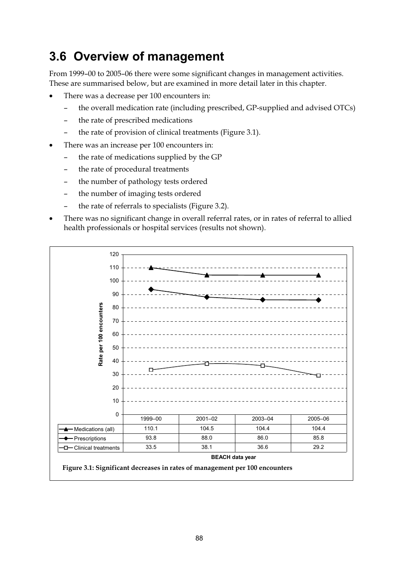## **3.6 Overview of management**

From 1999–00 to 2005–06 there were some significant changes in management activities. These are summarised below, but are examined in more detail later in this chapter.

- There was a decrease per 100 encounters in:
	- the overall medication rate (including prescribed, GP-supplied and advised OTCs)
	- the rate of prescribed medications
	- the rate of provision of clinical treatments (Figure 3.1).
- There was an increase per 100 encounters in:
	- the rate of medications supplied by the GP
	- the rate of procedural treatments
	- the number of pathology tests ordered
	- the number of imaging tests ordered
	- the rate of referrals to specialists (Figure 3.2).
- There was no significant change in overall referral rates, or in rates of referral to allied health professionals or hospital services (results not shown).

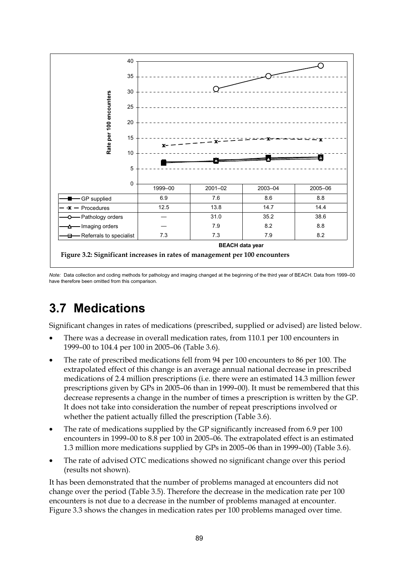

*Note:* Data collection and coding methods for pathology and imaging changed at the beginning of the third year of BEACH. Data from 1999–00 have therefore been omitted from this comparison.

## **3.7 Medications**

Significant changes in rates of medications (prescribed, supplied or advised) are listed below.

- There was a decrease in overall medication rates, from 110.1 per 100 encounters in 1999–00 to 104.4 per 100 in 2005–06 (Table 3.6).
- The rate of prescribed medications fell from 94 per 100 encounters to 86 per 100. The extrapolated effect of this change is an average annual national decrease in prescribed medications of 2.4 million prescriptions (i.e. there were an estimated 14.3 million fewer prescriptions given by GPs in 2005–06 than in 1999–00). It must be remembered that this decrease represents a change in the number of times a prescription is written by the GP. It does not take into consideration the number of repeat prescriptions involved or whether the patient actually filled the prescription (Table 3.6).
- The rate of medications supplied by the GP significantly increased from 6.9 per 100 encounters in 1999–00 to 8.8 per 100 in 2005–06. The extrapolated effect is an estimated 1.3 million more medications supplied by GPs in 2005–06 than in 1999–00) (Table 3.6).
- The rate of advised OTC medications showed no significant change over this period (results not shown).

It has been demonstrated that the number of problems managed at encounters did not change over the period (Table 3.5). Therefore the decrease in the medication rate per 100 encounters is not due to a decrease in the number of problems managed at encounter. Figure 3.3 shows the changes in medication rates per 100 problems managed over time.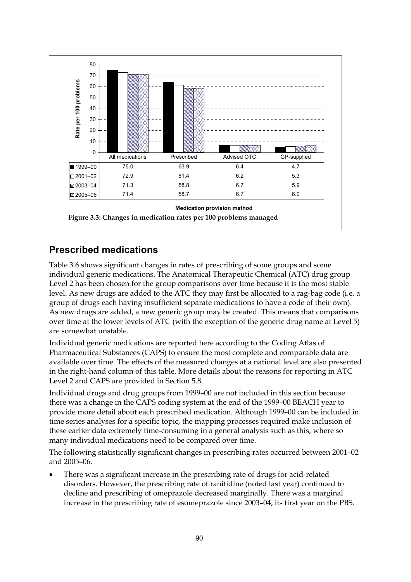

#### **Prescribed medications**

Table 3.6 shows significant changes in rates of prescribing of some groups and some individual generic medications. The Anatomical Therapeutic Chemical (ATC) drug group Level 2 has been chosen for the group comparisons over time because it is the most stable level. As new drugs are added to the ATC they may first be allocated to a rag-bag code (i.e. a group of drugs each having insufficient separate medications to have a code of their own). As new drugs are added, a new generic group may be created. This means that comparisons over time at the lower levels of ATC (with the exception of the generic drug name at Level 5) are somewhat unstable.

Individual generic medications are reported here according to the Coding Atlas of Pharmaceutical Substances (CAPS) to ensure the most complete and comparable data are available over time. The effects of the measured changes at a national level are also presented in the right-hand column of this table. More details about the reasons for reporting in ATC Level 2 and CAPS are provided in Section 5.8.

Individual drugs and drug groups from 1999–00 are not included in this section because there was a change in the CAPS coding system at the end of the 1999–00 BEACH year to provide more detail about each prescribed medication. Although 1999–00 can be included in time series analyses for a specific topic, the mapping processes required make inclusion of these earlier data extremely time-consuming in a general analysis such as this, where so many individual medications need to be compared over time.

The following statistically significant changes in prescribing rates occurred between 2001–02 and 2005–06.

There was a significant increase in the prescribing rate of drugs for acid-related disorders. However, the prescribing rate of ranitidine (noted last year) continued to decline and prescribing of omeprazole decreased marginally. There was a marginal increase in the prescribing rate of esomeprazole since 2003–04, its first year on the PBS.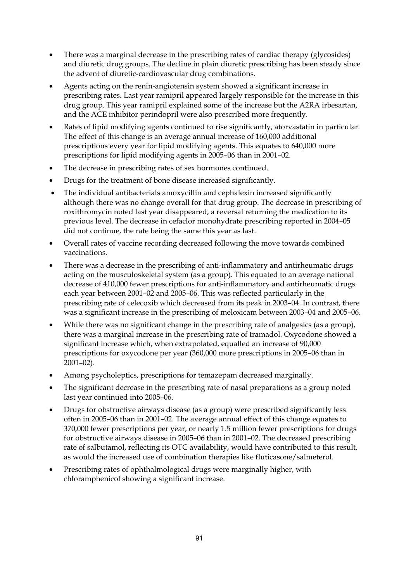- There was a marginal decrease in the prescribing rates of cardiac therapy (glycosides) and diuretic drug groups. The decline in plain diuretic prescribing has been steady since the advent of diuretic-cardiovascular drug combinations.
- Agents acting on the renin-angiotensin system showed a significant increase in prescribing rates. Last year ramipril appeared largely responsible for the increase in this drug group. This year ramipril explained some of the increase but the A2RA irbesartan, and the ACE inhibitor perindopril were also prescribed more frequently.
- Rates of lipid modifying agents continued to rise significantly, atorvastatin in particular. The effect of this change is an average annual increase of 160,000 additional prescriptions every year for lipid modifying agents. This equates to 640,000 more prescriptions for lipid modifying agents in 2005–06 than in 2001–02.
- The decrease in prescribing rates of sex hormones continued.
- Drugs for the treatment of bone disease increased significantly.
- The individual antibacterials amoxycillin and cephalexin increased significantly although there was no change overall for that drug group. The decrease in prescribing of roxithromycin noted last year disappeared, a reversal returning the medication to its previous level. The decrease in cefaclor monohydrate prescribing reported in 2004–05 did not continue, the rate being the same this year as last.
- Overall rates of vaccine recording decreased following the move towards combined vaccinations.
- There was a decrease in the prescribing of anti-inflammatory and antirheumatic drugs acting on the musculoskeletal system (as a group). This equated to an average national decrease of 410,000 fewer prescriptions for anti-inflammatory and antirheumatic drugs each year between 2001–02 and 2005–06. This was reflected particularly in the prescribing rate of celecoxib which decreased from its peak in 2003–04. In contrast, there was a significant increase in the prescribing of meloxicam between 2003–04 and 2005–06.
- While there was no significant change in the prescribing rate of analgesics (as a group), there was a marginal increase in the prescribing rate of tramadol. Oxycodone showed a significant increase which, when extrapolated, equalled an increase of 90,000 prescriptions for oxycodone per year (360,000 more prescriptions in 2005–06 than in 2001–02).
- Among psycholeptics, prescriptions for temazepam decreased marginally.
- The significant decrease in the prescribing rate of nasal preparations as a group noted last year continued into 2005–06.
- Drugs for obstructive airways disease (as a group) were prescribed significantly less often in 2005–06 than in 2001–02. The average annual effect of this change equates to 370,000 fewer prescriptions per year, or nearly 1.5 million fewer prescriptions for drugs for obstructive airways disease in 2005–06 than in 2001–02. The decreased prescribing rate of salbutamol, reflecting its OTC availability, would have contributed to this result, as would the increased use of combination therapies like fluticasone/salmeterol.
- Prescribing rates of ophthalmological drugs were marginally higher, with chloramphenicol showing a significant increase.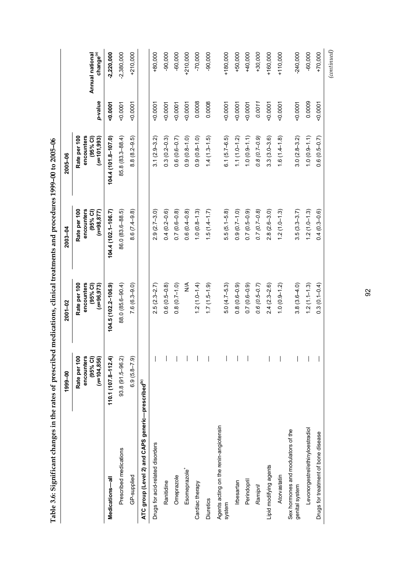| Table 3.6: Significant changes in the rates of prescribed medications, clinical treatments and procedures 1999-00 to 2005-06 |                                                          |                                                           |                                                           |                                                          |           |                                          |
|------------------------------------------------------------------------------------------------------------------------------|----------------------------------------------------------|-----------------------------------------------------------|-----------------------------------------------------------|----------------------------------------------------------|-----------|------------------------------------------|
|                                                                                                                              | 1999-00                                                  | $2001 - 02$                                               | $2003 - 04$                                               | $2005 - 06$                                              |           |                                          |
|                                                                                                                              | Rate per 100<br>encounters<br>(95% Cl)<br>$(n=104, 856)$ | Rate per 100<br>encounters<br>$(95%$ CI)<br>$(n=96, 973)$ | Rate per 100<br>encounters<br>$(95%$ CI)<br>$(n=98, 877)$ | Rate per 100<br>encounters<br>(95% Cl)<br>$(n=101, 993)$ | p-value   | Annual national<br>change <sup>(a)</sup> |
| Medications-all                                                                                                              | $110.1(107.8 - 112.4)$                                   | $104.5(102.2 - 106.9)$                                    | 104.4 (102.1-106.7)                                       | 104.4 (101.8-107.0)                                      | 0.0001    | $-2,220,000$                             |
| Prescribed medications                                                                                                       | 93.8 (91.5-96.2)                                         | 88.0 (85.6-90.4)                                          | 86.0 (83.6-88.5)                                          | 85.8 (83.3-88.4)                                         | 50.0001   | $-2,380,000$                             |
| GP-supplied                                                                                                                  | $6.9(5.8-7.9)$                                           | $7.6(6.3-9.0)$                                            | $8.6(7.4-9.8)$                                            | $8.8(8.2 - 9.5)$                                         | $-0.0001$ | $+210,000$                               |
| ATC group (Level 2) and CAPS generic—prescribed <sup>(b)</sup>                                                               |                                                          |                                                           |                                                           |                                                          |           |                                          |
| Drugs for acid-related disorders                                                                                             |                                                          | $2.5(2.3-2.7)$                                            | $2.9(2.7-3.0)$                                            | $3.1(2.9 - 3.2)$                                         | $-0.0001$ | $+80,000$                                |
| Ranitidine                                                                                                                   |                                                          | $0.6(0.5-0.8)$                                            | $0.4(0.2-0.6)$                                            | $0.3(0.2-0.3)$                                           | $-0.0001$ | $-90,000$                                |
| Omeprazole                                                                                                                   |                                                          | $0.8(0.7-1.0)$                                            | $0.7(0.6-0.8)$                                            | $0.6(0.6-0.7)$                                           | 0.0001    | $-60,000$                                |
| Esomeprazole <sup>+</sup>                                                                                                    |                                                          | $\frac{4}{2}$                                             | $0.6(0.4-0.8)$                                            | $0.9(0.8-1.0)$                                           | 0.0001    | $+210,000$                               |
| Cardiac therapy                                                                                                              |                                                          | $1.2(1.0 - 1.4)$                                          | $1.0(0.8-1.3)$                                            | $0.9(0.8 - 1.0)$                                         | 0.0008    | $-70,000$                                |
| <b>Diuretics</b>                                                                                                             |                                                          | $(6.1 - 5.1)$ 7.1                                         | $1.5(1.4-1.7)$                                            | $1.4(1.3 - 1.5)$                                         | 0.0008    | $-90,000$                                |
| Agents acting on the renin-angiotensin<br>system                                                                             |                                                          | $5.0(4.7 - 5.3)$                                          | $5.5(5.1 - 5.8)$                                          | $6.1(5.7-6.5)$                                           | 0.0001    | $+180,000$                               |
| Irbesartan                                                                                                                   |                                                          | $0.8(0.6-0.9)$                                            | $0.9(0.7-1.0)$                                            | $1.1(1.0 - 1.2)$                                         | 0.0001    | $+50,000$                                |
| Perindopril                                                                                                                  |                                                          | $0.7(0.6-0.9)$                                            | $0.7(0.5-0.9)$                                            | $1.0(0.9 - 1.1)$                                         | 0.0001    | $+40,000$                                |
| Ramipril                                                                                                                     |                                                          | $0.6(0.5-0.7)$                                            | $0.7(0.7-0.8)$                                            | $0.8(0.7-0.9)$                                           | 0.0011    | $+30,000$                                |
| Lipid modifying agents                                                                                                       |                                                          | $2.4(2.3-2.6)$                                            | $2.8(2.6-3.0)$                                            | $3.3(3.0 - 3.6)$                                         | 0.0001    | $+160,000$                               |
| Atorvastatin                                                                                                                 |                                                          | $1.0(0.9 - 1.2)$                                          | $1.2(1.0-1.3)$                                            | $1.6(1.4-1.8)$                                           | $-0.0001$ | $+110,000$                               |
| Sex hormones and modulators of the<br>genital system                                                                         |                                                          | $3.8(3.6-4.0)$                                            | $3.5(3.3 - 3.7)$                                          | $3.0(2.8 - 3.2)$                                         | $-0.0001$ | $-240,000$                               |
| Levonorgestrel/ethinyloestradiol                                                                                             |                                                          | $1.2(1.1 - 1.3)$                                          | $1.2(1.0-1.3)$                                            | $1.0(0.9 - 1.1)$                                         | 0.0009    | $-60,000$                                |
| Drugs for treatment of bone disease                                                                                          |                                                          | $0.3(0.1 - 0.4)$                                          | $0.4(0.3-0.6)$                                            | $0.6(0.5-0.7)$                                           | 50.0001   | $+70,000$                                |
|                                                                                                                              |                                                          |                                                           |                                                           |                                                          |           | $_{(continued)}$                         |

 $\sim$ j,  $\ddot{\phantom{0}}$ ÷,  $\ddot{\cdot}$  $\ddot{ }$  $\ddot{z}$  $\cdot$  $\vec{a}$  $\overline{a}$  $\cdot$ J. ् ં  $\frac{1}{6}$ 

92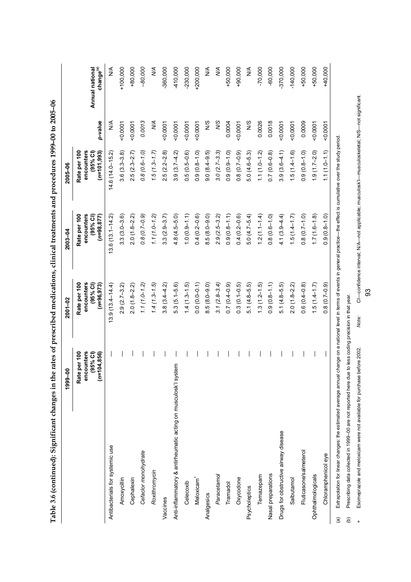| 3                               |
|---------------------------------|
|                                 |
| AC ACT AND ACT                  |
| $\frac{5}{1}$                   |
|                                 |
| ;<br>)                          |
|                                 |
| ;<br>;                          |
| ī                               |
|                                 |
|                                 |
|                                 |
|                                 |
|                                 |
|                                 |
|                                 |
| てんへんかん ちょうしょう                   |
|                                 |
|                                 |
|                                 |
|                                 |
|                                 |
|                                 |
|                                 |
|                                 |
|                                 |
|                                 |
|                                 |
|                                 |
|                                 |
|                                 |
|                                 |
|                                 |
| $\frac{1}{2}$                   |
|                                 |
|                                 |
|                                 |
|                                 |
|                                 |
|                                 |
|                                 |
| こうこう こうりゃう うらう アフラム こうりょうりょう うら |
|                                 |
|                                 |
|                                 |
|                                 |
|                                 |
|                                 |
|                                 |
|                                 |
|                                 |
| ı                               |
|                                 |
|                                 |
|                                 |
|                                 |
|                                 |
|                                 |
|                                 |
|                                 |
|                                 |
|                                 |
|                                 |
|                                 |
|                                 |
|                                 |
| *************                   |
|                                 |
|                                 |
|                                 |
|                                 |
|                                 |
|                                 |
|                                 |
|                                 |
|                                 |
|                                 |
|                                 |
|                                 |
|                                 |
|                                 |
|                                 |
|                                 |
|                                 |
|                                 |
|                                 |
|                                 |
|                                 |
|                                 |
|                                 |
|                                 |

|                                                                                                                         | 1999-00                                                       | 2001-02                                                                                                          | $2003 - 04$                                                                                   | 2005-06                                                   |               |                                          |
|-------------------------------------------------------------------------------------------------------------------------|---------------------------------------------------------------|------------------------------------------------------------------------------------------------------------------|-----------------------------------------------------------------------------------------------|-----------------------------------------------------------|---------------|------------------------------------------|
|                                                                                                                         | per 100<br>encounters<br>$(95%$ CI)<br>$(n=104, 856)$<br>Rate | Rate per 100<br>encounters<br>(95% Cl)<br>$(n=96,973)$                                                           | Rate per 100<br>encounters<br>(95% Cl)<br>$(n=98, 877)$                                       | Rate per 100<br>encounters<br>$(n=101,993)$<br>$(95%$ CI) | p-value       | change <sup>(a)</sup><br>Annual national |
| Antibacterials for systemic use                                                                                         |                                                               | $13.9(13.4 - 14.4)$                                                                                              | $13.6(13.1 - 14.2)$                                                                           | $14.6(14.0 - 15.2)$                                       | $\frac{4}{5}$ | ⋚                                        |
| Amoxycillin                                                                                                             |                                                               | $2.9(2.7 - 3.2)$                                                                                                 | $3.3(3.0 - 3.6)$                                                                              | $3.6(3.3 - 3.8)$                                          | 0.0007        | $+100,000$                               |
| Cephalexin                                                                                                              |                                                               | $2.0(1.8-2.2)$                                                                                                   | $2.0(1.8-2.2)$                                                                                | $2.5(2.3 - 2.7)$                                          | 0.0001        | $+80,000$                                |
| Cefaclor monohydrate                                                                                                    |                                                               | $1.1(1.0 - 1.2)$                                                                                                 | $0.8(0.7-0.9)$                                                                                | $0.8(0.6 - 1.0)$                                          | 0.0013        | $-80,000$                                |
| Roxithromycin                                                                                                           |                                                               | $1.4(1.3 - 1.5)$                                                                                                 | $1.1(1.0 - 1.2)$                                                                              | $1.5(1.3 - 1.7)$                                          | $\frac{1}{2}$ | УÁ                                       |
| Vaccines                                                                                                                |                                                               | $3.8(3.4 - 4.2)$                                                                                                 | $3.3(2.9-3.7)$                                                                                | $2.5(2.2-2.8)$                                            | 0.0001        | $-360,000$                               |
| Anti-inflammatory & antirheumatic acting on musculosk'l system                                                          |                                                               | $5.3(5.1 - 5.6)$                                                                                                 | $4.8(4.5 - 5.0)$                                                                              | $3.9(3.7 - 4.2)$                                          | 0.0001        | -410,000                                 |
| Celecoxib                                                                                                               |                                                               | $1.4(1.3-1.5)$                                                                                                   | $1.0(0.9 - 1.1)$                                                                              | $0.5(0.5-0.6)$                                            | 0.0001        | $-230,000$                               |
| Meloxicam <sup>+</sup>                                                                                                  |                                                               | $0.0(0.0-0.1)$                                                                                                   | $0.4(0.2-0.6)$                                                                                | $0.9(0.8-1.0)$                                            | 0.0001        | $+200,000$                               |
| Analgesics                                                                                                              |                                                               | $8.5(8.0-9.0)$                                                                                                   | $8.5(8.0 - 9.0)$                                                                              | $9.0(8.4 - 9.5)$                                          | S/N           | $\frac{4}{2}$                            |
| Paracetamol                                                                                                             |                                                               | $3.1(2.8 - 3.4)$                                                                                                 | $2.9(2.5 - 3.2)$                                                                              | $3.0(2.7-3.3)$                                            | <b>S/N</b>    | УÃ                                       |
| Tramadol                                                                                                                |                                                               | $0.7(0.4-0.9)$                                                                                                   | $0.9(0.8-1.1)$                                                                                | $0.9(0.9-1.0)$                                            | 0.0004        | $+50,000$                                |
| Oxycodone                                                                                                               |                                                               | $0.3(0.1 - 0.5)$                                                                                                 | $0.4(0.2-0.6)$                                                                                | $0.8(0.7-0.9)$                                            | 0.0007        | $+90,000$                                |
| Psycholeptics                                                                                                           |                                                               | $5.1(4.8 - 5.5)$                                                                                                 | $5.0(4.7 - 5.4)$                                                                              | $5.0(4.6-5.3)$                                            | N/S           | $\frac{4}{2}$                            |
| Temazepam                                                                                                               |                                                               | $1.3(1.2 - 1.5)$                                                                                                 | $1.2(1.1 - 1.4)$                                                                              | $1.1(1.0 - 1.2)$                                          | 0.0026        | $-70,000$                                |
| Nasal preparations                                                                                                      |                                                               | $0.9(0.8-1.1)$                                                                                                   | $0.8(0.6 - 1.0)$                                                                              | $0.7(0.6-0.8)$                                            | 0.0018        | $-60,000$                                |
| Drugs for obstructive airway disease                                                                                    |                                                               | $5.1(4.8-5.5)$                                                                                                   | $4.1(3.9 - 4.4)$                                                                              | $3.9(3.6-4.1)$                                            | 0.0007        | $-370,000$                               |
| Salbutamol                                                                                                              |                                                               | $2.0(1.8-2.2)$                                                                                                   | $1.5(1.4 - 1.7)$                                                                              | $1.5(1.4 - 1.6)$                                          | 0.0001        | $-140,000$                               |
| Fluticasone/salmeterol                                                                                                  |                                                               | $0.6(0.4-0.8)$                                                                                                   | $0.8(0.7-1.0)$                                                                                | $0.9(0.8-1.0)$                                            | 0.0009        | $+50,000$                                |
| Ophthalmologicals                                                                                                       |                                                               | $1.5(1.4-1.7)$                                                                                                   | $1.7(1.6-1.8)$                                                                                | $1.9(1.7-2.0)$                                            | 0.0007        | $+50,000$                                |
| Chloramphenicol eye                                                                                                     |                                                               | $0.8(0.7-0.9)$                                                                                                   | $0.9(0.8-1.0)$                                                                                | $1.1(1.0 - 1.1)$                                          | 0.0007        | +40,000                                  |
| Extrapolation for linear changes: the estimated average annual<br>$\widehat{a}$                                         |                                                               | change on a national level in terms of events in general practice—the effect is cumulative over the study period |                                                                                               |                                                           |               |                                          |
| Prescribing data collected in 1999-00 are not reported here due to less coding precision in that year.<br>$\widehat{e}$ |                                                               |                                                                                                                  |                                                                                               |                                                           |               |                                          |
| Esomeprazole and meloxicam were not available for purchase before 2002.                                                 |                                                               | Note:                                                                                                            | CI-confidence interval; N/A-not applicable; musculosk/I-musculoskeletal; N/S-not significant. |                                                           |               |                                          |

CI-confidence interval; N/A-not applicable; musculosk/I-musculoskeletal; N/S-not significant. + Esomeprazole and meloxicam were not available for purchase before 2002. *Note:* CI—confidence interval; N/A—not applicable; musculosk'l—musculoskeletal; N/S—not significant.

93

Note:

Esomeprazole and meloxicam were not available for purchase before 2002.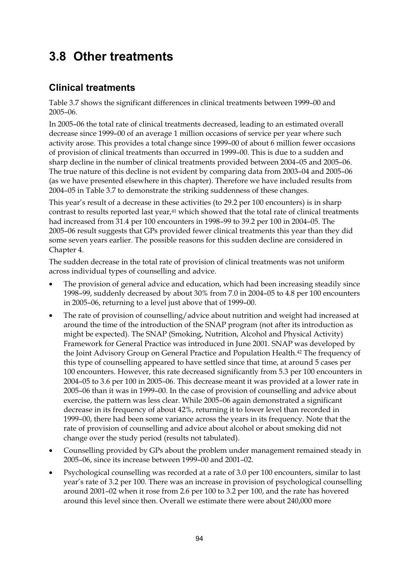## **3.8 Other treatments**

#### **Clinical treatments**

Table 3.7 shows the significant differences in clinical treatments between 1999–00 and 2005–06.

In 2005–06 the total rate of clinical treatments decreased, leading to an estimated overall decrease since 1999–00 of an average 1 million occasions of service per year where such activity arose. This provides a total change since 1999–00 of about 6 million fewer occasions of provision of clinical treatments than occurred in 1999–00. This is due to a sudden and sharp decline in the number of clinical treatments provided between 2004–05 and 2005–06. The true nature of this decline is not evident by comparing data from 2003–04 and 2005–06 (as we have presented elsewhere in this chapter). Therefore we have included results from 2004–05 in Table 3.7 to demonstrate the striking suddenness of these changes.

This year's result of a decrease in these activities (to 29.2 per 100 encounters) is in sharp contrast to results reported last year,41 which showed that the total rate of clinical treatments had increased from 31.4 per 100 encounters in 1998–99 to 39.2 per 100 in 2004–05. The 2005–06 result suggests that GPs provided fewer clinical treatments this year than they did some seven years earlier. The possible reasons for this sudden decline are considered in Chapter 4.

The sudden decrease in the total rate of provision of clinical treatments was not uniform across individual types of counselling and advice.

- The provision of general advice and education, which had been increasing steadily since 1998–99, suddenly decreased by about 30% from 7.0 in 2004–05 to 4.8 per 100 encounters in 2005–06, returning to a level just above that of 1999–00.
- The rate of provision of counselling/advice about nutrition and weight had increased at around the time of the introduction of the SNAP program (not after its introduction as might be expected). The SNAP (Smoking, Nutrition, Alcohol and Physical Activity) Framework for General Practice was introduced in June 2001. SNAP was developed by the Joint Advisory Group on General Practice and Population Health.42 The frequency of this type of counselling appeared to have settled since that time, at around 5 cases per 100 encounters. However, this rate decreased significantly from 5.3 per 100 encounters in 2004–05 to 3.6 per 100 in 2005–06. This decrease meant it was provided at a lower rate in 2005–06 than it was in 1999–00. In the case of provision of counselling and advice about exercise, the pattern was less clear. While 2005–06 again demonstrated a significant decrease in its frequency of about 42%, returning it to lower level than recorded in 1999–00, there had been some variance across the years in its frequency. Note that the rate of provision of counselling and advice about alcohol or about smoking did not change over the study period (results not tabulated).
- Counselling provided by GPs about the problem under management remained steady in 2005–06, since its increase between 1999–00 and 2001–02.
- Psychological counselling was recorded at a rate of 3.0 per 100 encounters, similar to last year's rate of 3.2 per 100. There was an increase in provision of psychological counselling around 2001–02 when it rose from 2.6 per 100 to 3.2 per 100, and the rate has hovered around this level since then. Overall we estimate there were about 240,000 more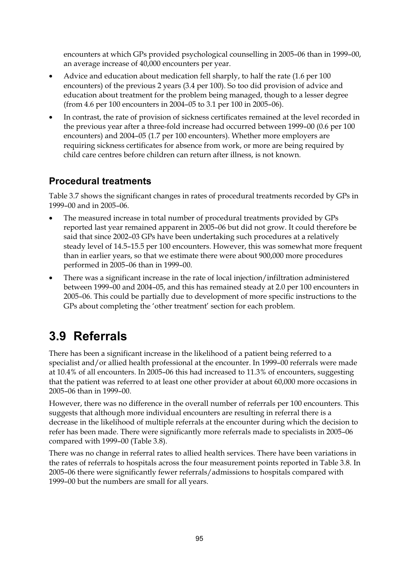encounters at which GPs provided psychological counselling in 2005–06 than in 1999–00, an average increase of 40,000 encounters per year.

- Advice and education about medication fell sharply, to half the rate (1.6 per 100 encounters) of the previous 2 years (3.4 per 100). So too did provision of advice and education about treatment for the problem being managed, though to a lesser degree (from 4.6 per 100 encounters in 2004–05 to 3.1 per 100 in 2005–06).
- In contrast, the rate of provision of sickness certificates remained at the level recorded in the previous year after a three-fold increase had occurred between 1999–00 (0.6 per 100 encounters) and 2004–05 (1.7 per 100 encounters). Whether more employers are requiring sickness certificates for absence from work, or more are being required by child care centres before children can return after illness, is not known.

#### **Procedural treatments**

Table 3.7 shows the significant changes in rates of procedural treatments recorded by GPs in 1999–00 and in 2005–06.

- The measured increase in total number of procedural treatments provided by GPs reported last year remained apparent in 2005–06 but did not grow. It could therefore be said that since 2002–03 GPs have been undertaking such procedures at a relatively steady level of 14.5–15.5 per 100 encounters. However, this was somewhat more frequent than in earlier years, so that we estimate there were about 900,000 more procedures performed in 2005–06 than in 1999–00.
- There was a significant increase in the rate of local injection/infiltration administered between 1999–00 and 2004–05, and this has remained steady at 2.0 per 100 encounters in 2005–06. This could be partially due to development of more specific instructions to the GPs about completing the 'other treatment' section for each problem.

# **3.9 Referrals**

There has been a significant increase in the likelihood of a patient being referred to a specialist and/or allied health professional at the encounter. In 1999–00 referrals were made at 10.4% of all encounters. In 2005–06 this had increased to 11.3% of encounters, suggesting that the patient was referred to at least one other provider at about 60,000 more occasions in 2005–06 than in 1999–00.

However, there was no difference in the overall number of referrals per 100 encounters. This suggests that although more individual encounters are resulting in referral there is a decrease in the likelihood of multiple referrals at the encounter during which the decision to refer has been made. There were significantly more referrals made to specialists in 2005–06 compared with 1999–00 (Table 3.8).

There was no change in referral rates to allied health services. There have been variations in the rates of referrals to hospitals across the four measurement points reported in Table 3.8. In 2005–06 there were significantly fewer referrals/admissions to hospitals compared with 1999–00 but the numbers are small for all years.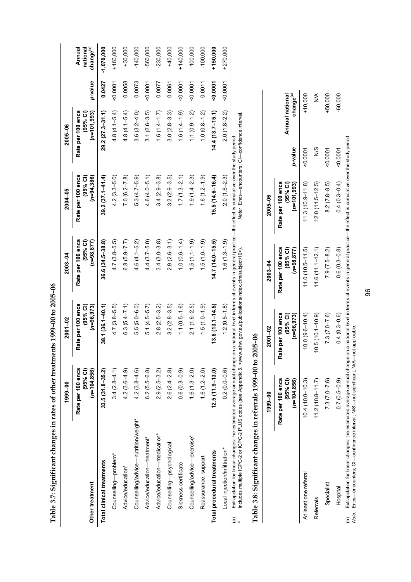Table 3.7: Significant changes in rates of other treatments 1999-00 to 2005-06 **Table 3.7: Significant changes in rates of other treatments 1999–00 to 2005–06** 

|                                                                                                               | 1999-00                                         | 2001-02                                       | 2003-04                                                                                                                   | 2004-05                                         | 2005-06                                        |           |                                             |
|---------------------------------------------------------------------------------------------------------------|-------------------------------------------------|-----------------------------------------------|---------------------------------------------------------------------------------------------------------------------------|-------------------------------------------------|------------------------------------------------|-----------|---------------------------------------------|
| Other treatment                                                                                               | Rate per 100 encs<br>(95% Cl)<br>$(n=104, 856)$ | Rate per 100 encs<br>(95% Cl)<br>$(n=96,973)$ | Rate per 100 encs<br>$(95%$ CI)<br>$(n=98, 877)$                                                                          | Rate per 100 encs<br>$(95%$ CI)<br>$(n=94,386)$ | Rate per 100 encs<br>(95% CI)<br>$(n=101,993)$ | p-value   | change <sup>(a)</sup><br>Annual<br>national |
| Total clinical treatments                                                                                     | $33.5(31.8 - 35.2)$                             | $38.1(36.1 - 40.1)$                           | $36.6(34.5-38.8)$                                                                                                         | $39.2(37.1 - 41.4)$                             | $29.2(27.3 - 31.1)$                            | 0.0427    | $-1,070,000$                                |
| Counselling-problem*                                                                                          | $3.4(2.8 - 4.1)$                                | $4.7(3.8-5.5)$                                | $4.7(3.8-5.5)$                                                                                                            | $4.2(3.3 - 5.0)$                                | $4.8(4.1 - 5.4)$                               | 0.0001    | $+160,000$                                  |
| Advice/education*                                                                                             | $4.2(3.6-4.9)$                                  | $6.3(5.4 - 7.1)$                              | $6.8(5.9 - 7.7)$                                                                                                          | $7.0(6.2 - 7.8)$                                | $4.8(4.1 - 5.4)$                               | 0.0058    | $+30,000$                                   |
| Counselling/advice-nutrition/weight*                                                                          | $4.2(3.8 - 4.6)$                                | $5.5(5.0-6.0)$                                | 4.6 (4.1–5.2)                                                                                                             | $5.3(4.7-5.9)$                                  | $3.6(3.2-4.0)$                                 | 0.0073    | $-140,000$                                  |
| Advice/education-treatment*                                                                                   | $6.2(5.5-6.8)$                                  | $5.1(4.5-5.7)$                                | $4.4(3.7 - 5.0)$                                                                                                          | $4.6(4.0 - 5.1)$                                | $3.1(2.6-3.5)$                                 | 0.0007    | -560,000                                    |
| Advice/education-medication*                                                                                  | $2.9(2.5 - 3.2)$                                | $2.8(2.5-3.2)$                                | $3.4(3.0-3.8)$                                                                                                            | $3.4(2.9-3.8)$                                  | $1.6(1.4-1.7)$                                 | 0.0077    | $-230,000$                                  |
| Counselling-psychological                                                                                     | $2.6(2.4 - 2.8)$                                | $3.2(2.8-3.5)$                                | $2.9(2.6-3.1)$                                                                                                            | $3.2(2.9-3.5)$                                  | $3.0(2.8-3.3)$                                 | 0.0061    | +40,000                                     |
| Sickness certificate                                                                                          | $0.6(0.3 - 0.9)$                                | $1.1(0.5-1.6)$                                | $(0.6 - 1.4)$                                                                                                             | $1.7(1.3-2.1)$                                  | $1.6(1.4-1.9)$                                 | $-0.0001$ | $+140,000$                                  |
| Counselling/advice-exercise*                                                                                  | $1.6(1.3-2.0)$                                  | $2.1(1.6-2.5)$                                | $1.5(1.1-1.9)$                                                                                                            | $1.9(1.4-2.3)$                                  | $1.1(0.9 - 1.2)$                               | $-0.0001$ | $-100,000$                                  |
| Reassurance, support                                                                                          | $1.6(1.2 - 2.0)$                                | $1.5(1.0 - 1.9)$                              | $1.5(1.0-1.9)$                                                                                                            | $1.6(1.2 - 1.9)$                                | $1.0(0.8-1.2)$                                 | 0.0011    | $-100,000$                                  |
| Total procedural treatments                                                                                   | $12.5(11.9 - 13.0)$                             | $13.8(13.1 - 14.5)$                           | $14.7(14.0 - 15.5)$                                                                                                       | $15.5(14.6 - 16.4)$                             | $14.4(13.7 - 15.1)$                            | 00001     | +150,000                                    |
| Local injection/infiltration*                                                                                 | $0.2(0.0-0.6)$                                  | $1.2(0.5 - 1.8)$                              | $1.6(1.3-1.9)$                                                                                                            | $2.0(1.6-2.3)$                                  | $2.0(1.8-2.2)$                                 | $-0.0001$ | +270,000                                    |
| Extrapolation for linear changes: the estimated average annual change on<br>יומר מהוו<br>$\tilde{\zeta}$<br>@ |                                                 |                                               | a national level in terms of events in general practice—the effect is cumulative over the study period.<br>$\ddotsc$<br>í |                                                 |                                                |           |                                             |

Note: Encs-encounters; CI-confidence interval. \* Includes multiple ICPC-2 or ICPC-2 PLUS codes (see Appendix 5, <www.aihw.gov.au/publications/index.cfm/subject/19>). *Note:* Encs—encounters; CI—confidence interval. Indudes multiple ICPC-2 or ICPC-2 PLUS codes (see Appendix 5, <www.aihw.gov.au/publications/index.cfm/subject/19>).

# Table 3.8: Significant changes in referrals 1999-00 to 2005-06 **Table 3.8: Significant changes in referrals 1999–00 to 2005–06**

|                       | $1999 - 0$                                                                                                                                                                      | $2001 - 02$                                    | $2003 - 04$                                    | 2005-06                                         |         |                                          |
|-----------------------|---------------------------------------------------------------------------------------------------------------------------------------------------------------------------------|------------------------------------------------|------------------------------------------------|-------------------------------------------------|---------|------------------------------------------|
|                       | encs<br>$(n=104, 856)$<br>(95% Cl)<br>Rate per 100                                                                                                                              | Rate per 100 encs<br>(95% Cl)<br>$(n=96, 973)$ | (95% Cl)<br>$(n=98, 877)$<br>Rate per 100 encs | $(n=101, 993)$<br>Rate per 100 encs<br>(95% Cl) | p-value | Annual national<br>change <sup>(a)</sup> |
| At least one referral | $10.4(10.0 - 10.3)$                                                                                                                                                             | $(0.0(9.6 - 10.4))$                            | $11.0(10.5-11.5)$                              | $1.3(10.9 - 11.8)$                              | 0.0007  | +10,000                                  |
| Referrals             | $11.2(10.8 - 11.7)$                                                                                                                                                             | $10.5(10.1 - 10.9)$                            | $11.6(11.1 - 12.1)$                            | $12.0(11.5-12.5)$                               | 9<br>NS | ≸                                        |
| Specialist            | $7.3(7.0 - 7.6)$                                                                                                                                                                | $7.3(7.0 - 7.6)$                               | $7.9(7.5-8.2)$                                 | $8.2(7.8-8.5)$                                  | 0.0001  | $+50.000$                                |
| Hospital              | $0.7(0.5-0.9)$                                                                                                                                                                  | $0.4(0.3 - 0.6)$                               | $0.6(0.3 - 0.8)$                               | $0.4(0.3-0.4)$                                  | 50007   | $-60,000$                                |
| a                     | Extrapolation for linear changes: the estimated average annual change on a national level in terms of events in general practice—the effect is cumulative over the study period |                                                |                                                |                                                 |         |                                          |

נ<br>מ (a) Extrapolation for linear changes: the estimated average annual change on a national le<br>*Note:* Encs—encounters; CI—confidence interval; NIS—not significant; NIA—not applicable. *Note:* Encs—encounters; CI—confidence interval; N/S—not significant; N/A—not applicable.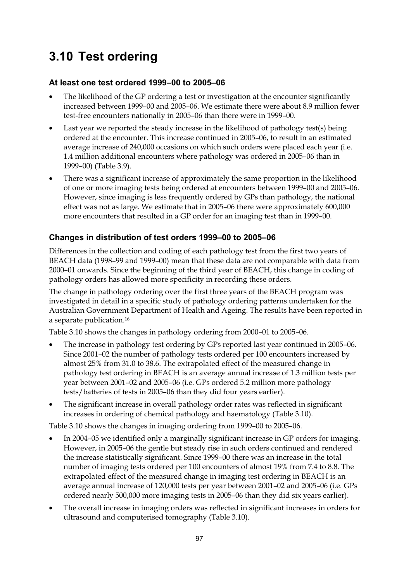# **3.10 Test ordering**

#### **At least one test ordered 1999–00 to 2005–06**

- The likelihood of the GP ordering a test or investigation at the encounter significantly increased between 1999–00 and 2005–06. We estimate there were about 8.9 million fewer test-free encounters nationally in 2005–06 than there were in 1999–00.
- Last year we reported the steady increase in the likelihood of pathology test(s) being ordered at the encounter. This increase continued in 2005–06, to result in an estimated average increase of 240,000 occasions on which such orders were placed each year (i.e. 1.4 million additional encounters where pathology was ordered in 2005–06 than in 1999–00) (Table 3.9).
- There was a significant increase of approximately the same proportion in the likelihood of one or more imaging tests being ordered at encounters between 1999–00 and 2005–06. However, since imaging is less frequently ordered by GPs than pathology, the national effect was not as large. We estimate that in 2005–06 there were approximately 600,000 more encounters that resulted in a GP order for an imaging test than in 1999–00.

#### **Changes in distribution of test orders 1999–00 to 2005–06**

Differences in the collection and coding of each pathology test from the first two years of BEACH data (1998–99 and 1999–00) mean that these data are not comparable with data from 2000–01 onwards. Since the beginning of the third year of BEACH, this change in coding of pathology orders has allowed more specificity in recording these orders.

The change in pathology ordering over the first three years of the BEACH program was investigated in detail in a specific study of pathology ordering patterns undertaken for the Australian Government Department of Health and Ageing. The results have been reported in a separate publication.16

Table 3.10 shows the changes in pathology ordering from 2000–01 to 2005–06.

- The increase in pathology test ordering by GPs reported last year continued in 2005–06. Since 2001–02 the number of pathology tests ordered per 100 encounters increased by almost 25% from 31.0 to 38.6. The extrapolated effect of the measured change in pathology test ordering in BEACH is an average annual increase of 1.3 million tests per year between 2001–02 and 2005–06 (i.e. GPs ordered 5.2 million more pathology tests/batteries of tests in 2005–06 than they did four years earlier).
- The significant increase in overall pathology order rates was reflected in significant increases in ordering of chemical pathology and haematology (Table 3.10).

Table 3.10 shows the changes in imaging ordering from 1999–00 to 2005–06.

- In 2004–05 we identified only a marginally significant increase in GP orders for imaging. However, in 2005–06 the gentle but steady rise in such orders continued and rendered the increase statistically significant. Since 1999–00 there was an increase in the total number of imaging tests ordered per 100 encounters of almost 19% from 7.4 to 8.8. The extrapolated effect of the measured change in imaging test ordering in BEACH is an average annual increase of 120,000 tests per year between 2001–02 and 2005–06 (i.e. GPs ordered nearly 500,000 more imaging tests in 2005–06 than they did six years earlier).
- The overall increase in imaging orders was reflected in significant increases in orders for ultrasound and computerised tomography (Table 3.10).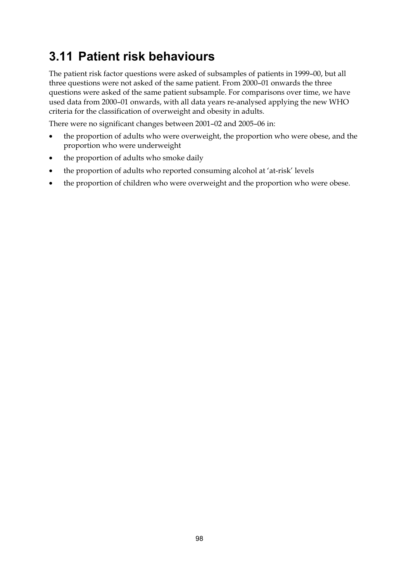# **3.11 Patient risk behaviours**

The patient risk factor questions were asked of subsamples of patients in 1999–00, but all three questions were not asked of the same patient. From 2000–01 onwards the three questions were asked of the same patient subsample. For comparisons over time, we have used data from 2000–01 onwards, with all data years re-analysed applying the new WHO criteria for the classification of overweight and obesity in adults.

There were no significant changes between 2001–02 and 2005–06 in:

- the proportion of adults who were overweight, the proportion who were obese, and the proportion who were underweight
- the proportion of adults who smoke daily
- the proportion of adults who reported consuming alcohol at 'at-risk' levels
- the proportion of children who were overweight and the proportion who were obese.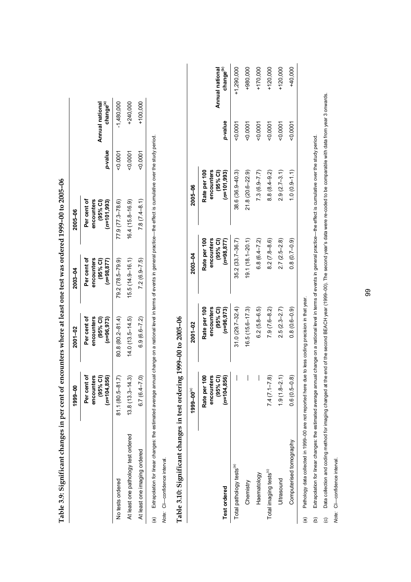|                                     | 1999-00                        | $2001 - 02$               | 2003-04                   | 2005-06                    |           |                                          |
|-------------------------------------|--------------------------------|---------------------------|---------------------------|----------------------------|-----------|------------------------------------------|
|                                     | Per cent of<br>ncounters<br>ō٥ | Per cent of<br>encounters | Per cent of<br>encounters | Per cent of<br>encounters  |           |                                          |
|                                     | (95% C1)<br>$=104.856$         | (95% Cl)<br>$(n=96, 973)$ | (95% Cl)<br>$(n=98, 877)$ | (95% Cl)<br>$(n=101, 993)$ | p-value   | Annual national<br>change <sup>(a)</sup> |
| No tests ordered                    | $81.1(80.5 - 81.7)$            | $80.8(80.2 - 81.4)$       | 79.2 (78.5–79.9)          | $77.9(77.3 - 78.6)$        | $-0.0007$ | $-1,480,000$                             |
| At least one pathology test ordered | $13.3 - 14.3$<br>13.8(         | $14.0(13.5-14.5)$         | $15.5(14.9-16.1)$         | 16.4 (15.8-16.9)           | 50007     | +240,000                                 |
| At least one imaging ordered        | $7(6.4 - 7.0)$                 | $6.9(6.6 - 7.2)$          | $7.2(6.9 - 7.5)$          | $7.8(7.4-8.1)$             | $-0.0001$ | $+100,000$                               |

Table 3.9: Significant changes in per cent of encounters where at least one test was ordered 1999–00 to 2005–06 **Table 3.9: Significant changes in per cent of encounters where at least one test was ordered 1999–00 to 2005–06** 

(a) Extrapolation for linear changes: the estimated average annual change on a national level in terms of events in general practice—the effect is cumulative over the study period. Extrapolation for linear changes: the estimated average annual change on a national level in terms of events in general practice—the effect is cumulative over the study period.  $\widehat{a}$ 

Note: CI-confidence interval. *Note:* CI—confidence interval.

# **Table 3.10: Significant changes in test ordering 1999–00 to 2005–06**  Table 3.10: Significant changes in test ordering 1999-00 to 2005-06

|                                      | $1999 - 00^{(a)}$          | 2001-02                    | 2003-04                    | 2005-06                    |         |                                          |
|--------------------------------------|----------------------------|----------------------------|----------------------------|----------------------------|---------|------------------------------------------|
|                                      | Rate per 100<br>encounters | encounters<br>Rate per 100 | encounters<br>Rate per 100 | Rate per 100<br>encounters |         |                                          |
| <b>Test ordered</b>                  | $(n=104, 856)$<br>(95% Cl) | (95% Cl)<br>$(n=96, 973)$  | (95% Cl)<br>$(n=98, 877)$  | (95% Cl)<br>$(n=101,993)$  | p-value | change <sup>(b)</sup><br>Annual national |
| Total pathology tests <sup>(a)</sup> |                            | $31.0(29.7 - 32.4)$        | $35.2(33.7 - 36.7)$        | $38.6(36.9 - 40.3)$        | 0.0001  | $-1,290,000$                             |
| Chemistry                            |                            | $16.5(15.6 - 17.3)$        | $19.1(18.1 - 20.1)$        | $21.8(20.6 - 22.9)$        | 0.0001  | +980,000                                 |
| Haematology                          |                            | $6.2(5.8 - 6.5)$           | $6.8(6.4 - 7.2)$           | $7.3(6.9 - 7.7)$           | 0007    | $-170,000$                               |
| Total imaging tests <sup>(c)</sup>   | $7.4(7.1 - 7.8)$           | $7.9(7.6-8.2)$             | $8.2(7.8 - 8.6)$           | $8.8(8.4 - 9.2)$           | 0.0001  | $-120,000$                               |
| Ultrasound                           | $1.9(1.8-2.1)$             | $2.5(2.3 - 2.7)$           | $2.7(2.5 - 2.8)$           | $2.9(2.7-3.1)$             | 0.0001  | $-120,000$                               |
| Computerised tomography              | $0.6(0.5-0.8)$             | $0.8(0.6-0.9)$             | $0.8(0.7-0.9)$             | $1.0(0.9 - 1.1)$           | 00001   | +40,000                                  |
|                                      |                            |                            |                            |                            |         |                                          |

Pathology data collected in 1999-00 are not reported here due to less coding precision in that year. (a) Pathology data collected in 1999–00 are not reported here due to less coding precision in that year.  $\widehat{a}$  Extrapolation for linear changes: the estimated average annual change on a national level in terms of events in general practice—the effect is cumulative over the study period. (b) Extrapolation for linear changes: the estimated average annual change on a national level in terms of events in general practice—the effect is cumulative over the study period.  $\ddot{e}$ 

(c) Data collection and coding method for imaging changed at the end of the second BEACH year (1999–00). The second year's data were re-coded to be comparable with data from year 3 onwards. Data collection and coding method for imaging changed at the end of the second BEACH year (1999–00). The second year's data were re-coded to be comparable with data from year 3 onwards.  $\odot$ 

Note: CI-confidence interval. *Note:* CI—confidence interval.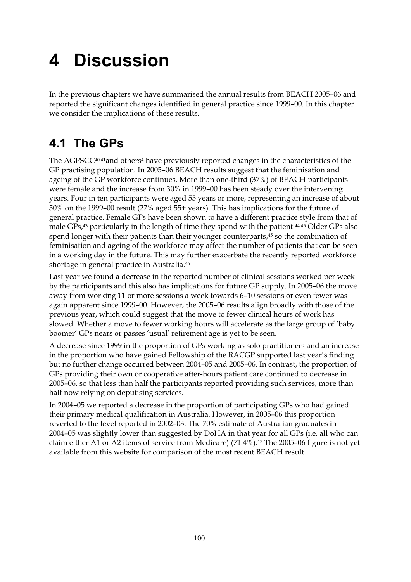# **4 Discussion**

In the previous chapters we have summarised the annual results from BEACH 2005–06 and reported the significant changes identified in general practice since 1999–00. In this chapter we consider the implications of these results.

# **4.1 The GPs**

The AGPSCC $40,41$ and others<sup>4</sup> have previously reported changes in the characteristics of the GP practising population. In 2005–06 BEACH results suggest that the feminisation and ageing of the GP workforce continues. More than one-third (37%) of BEACH participants were female and the increase from 30% in 1999–00 has been steady over the intervening years. Four in ten participants were aged 55 years or more, representing an increase of about 50% on the 1999–00 result (27% aged 55+ years). This has implications for the future of general practice. Female GPs have been shown to have a different practice style from that of male GPs,43 particularly in the length of time they spend with the patient.44,45 Older GPs also spend longer with their patients than their younger counterparts,<sup>45</sup> so the combination of feminisation and ageing of the workforce may affect the number of patients that can be seen in a working day in the future. This may further exacerbate the recently reported workforce shortage in general practice in Australia.46

Last year we found a decrease in the reported number of clinical sessions worked per week by the participants and this also has implications for future GP supply. In 2005–06 the move away from working 11 or more sessions a week towards 6–10 sessions or even fewer was again apparent since 1999–00. However, the 2005–06 results align broadly with those of the previous year, which could suggest that the move to fewer clinical hours of work has slowed. Whether a move to fewer working hours will accelerate as the large group of 'baby boomer' GPs nears or passes 'usual' retirement age is yet to be seen.

A decrease since 1999 in the proportion of GPs working as solo practitioners and an increase in the proportion who have gained Fellowship of the RACGP supported last year's finding but no further change occurred between 2004–05 and 2005–06. In contrast, the proportion of GPs providing their own or cooperative after-hours patient care continued to decrease in 2005–06, so that less than half the participants reported providing such services, more than half now relying on deputising services.

In 2004–05 we reported a decrease in the proportion of participating GPs who had gained their primary medical qualification in Australia. However, in 2005–06 this proportion reverted to the level reported in 2002–03. The 70% estimate of Australian graduates in 2004–05 was slightly lower than suggested by DoHA in that year for all GPs (i.e. all who can claim either A1 or A2 items of service from Medicare) (71.4%).47 The 2005–06 figure is not yet available from this website for comparison of the most recent BEACH result.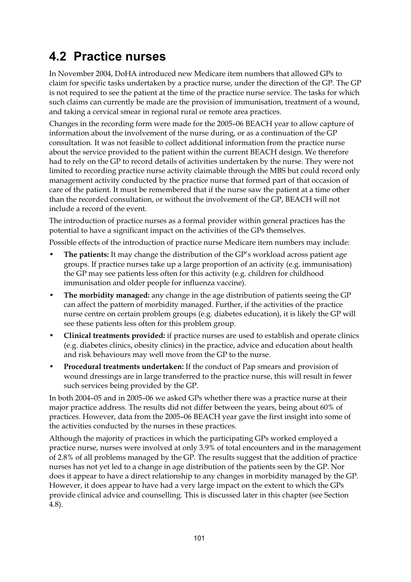## **4.2 Practice nurses**

In November 2004, DoHA introduced new Medicare item numbers that allowed GPs to claim for specific tasks undertaken by a practice nurse, under the direction of the GP. The GP is not required to see the patient at the time of the practice nurse service. The tasks for which such claims can currently be made are the provision of immunisation, treatment of a wound, and taking a cervical smear in regional rural or remote area practices.

Changes in the recording form were made for the 2005–06 BEACH year to allow capture of information about the involvement of the nurse during, or as a continuation of the GP consultation. It was not feasible to collect additional information from the practice nurse about the service provided to the patient within the current BEACH design. We therefore had to rely on the GP to record details of activities undertaken by the nurse. They were not limited to recording practice nurse activity claimable through the MBS but could record only management activity conducted by the practice nurse that formed part of that occasion of care of the patient. It must be remembered that if the nurse saw the patient at a time other than the recorded consultation, or without the involvement of the GP, BEACH will not include a record of the event.

The introduction of practice nurses as a formal provider within general practices has the potential to have a significant impact on the activities of the GPs themselves.

Possible effects of the introduction of practice nurse Medicare item numbers may include:

- **The patients:** It may change the distribution of the GP's workload across patient age groups. If practice nurses take up a large proportion of an activity (e.g. immunisation) the GP may see patients less often for this activity (e.g. children for childhood immunisation and older people for influenza vaccine).
- **The morbidity managed:** any change in the age distribution of patients seeing the GP can affect the pattern of morbidity managed. Further, if the activities of the practice nurse centre on certain problem groups (e.g. diabetes education), it is likely the GP will see these patients less often for this problem group.
- **Clinical treatments provided:** if practice nurses are used to establish and operate clinics (e.g. diabetes clinics, obesity clinics) in the practice, advice and education about health and risk behaviours may well move from the GP to the nurse.
- **Procedural treatments undertaken:** If the conduct of Pap smears and provision of wound dressings are in large transferred to the practice nurse, this will result in fewer such services being provided by the GP.

In both 2004–05 and in 2005–06 we asked GPs whether there was a practice nurse at their major practice address. The results did not differ between the years, being about 60% of practices. However, data from the 2005–06 BEACH year gave the first insight into some of the activities conducted by the nurses in these practices.

Although the majority of practices in which the participating GPs worked employed a practice nurse, nurses were involved at only 3.9% of total encounters and in the management of 2.8% of all problems managed by the GP. The results suggest that the addition of practice nurses has not yet led to a change in age distribution of the patients seen by the GP. Nor does it appear to have a direct relationship to any changes in morbidity managed by the GP. However, it does appear to have had a very large impact on the extent to which the GPs provide clinical advice and counselling. This is discussed later in this chapter (see Section 4.8).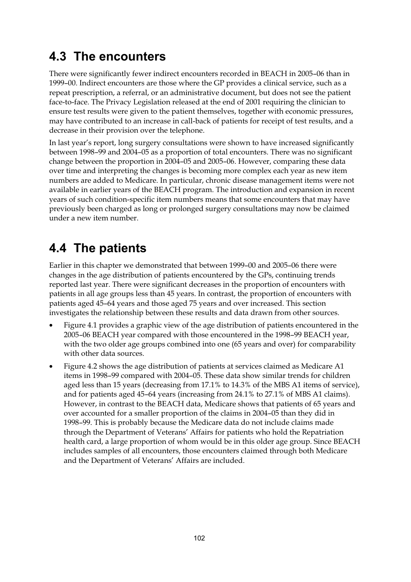## **4.3 The encounters**

There were significantly fewer indirect encounters recorded in BEACH in 2005–06 than in 1999–00. Indirect encounters are those where the GP provides a clinical service, such as a repeat prescription, a referral, or an administrative document, but does not see the patient face-to-face. The Privacy Legislation released at the end of 2001 requiring the clinician to ensure test results were given to the patient themselves, together with economic pressures, may have contributed to an increase in call-back of patients for receipt of test results, and a decrease in their provision over the telephone.

In last year's report, long surgery consultations were shown to have increased significantly between 1998–99 and 2004–05 as a proportion of total encounters. There was no significant change between the proportion in 2004–05 and 2005–06. However, comparing these data over time and interpreting the changes is becoming more complex each year as new item numbers are added to Medicare. In particular, chronic disease management items were not available in earlier years of the BEACH program. The introduction and expansion in recent years of such condition-specific item numbers means that some encounters that may have previously been charged as long or prolonged surgery consultations may now be claimed under a new item number.

# **4.4 The patients**

Earlier in this chapter we demonstrated that between 1999–00 and 2005–06 there were changes in the age distribution of patients encountered by the GPs, continuing trends reported last year. There were significant decreases in the proportion of encounters with patients in all age groups less than 45 years. In contrast, the proportion of encounters with patients aged 45–64 years and those aged 75 years and over increased. This section investigates the relationship between these results and data drawn from other sources.

- Figure 4.1 provides a graphic view of the age distribution of patients encountered in the 2005–06 BEACH year compared with those encountered in the 1998–99 BEACH year, with the two older age groups combined into one (65 years and over) for comparability with other data sources.
- Figure 4.2 shows the age distribution of patients at services claimed as Medicare A1 items in 1998–99 compared with 2004–05. These data show similar trends for children aged less than 15 years (decreasing from 17.1% to 14.3% of the MBS A1 items of service), and for patients aged 45–64 years (increasing from 24.1% to 27.1% of MBS A1 claims). However, in contrast to the BEACH data, Medicare shows that patients of 65 years and over accounted for a smaller proportion of the claims in 2004–05 than they did in 1998–99. This is probably because the Medicare data do not include claims made through the Department of Veterans' Affairs for patients who hold the Repatriation health card, a large proportion of whom would be in this older age group. Since BEACH includes samples of all encounters, those encounters claimed through both Medicare and the Department of Veterans' Affairs are included.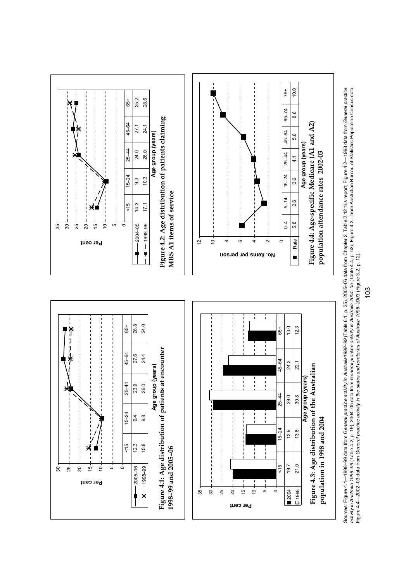



103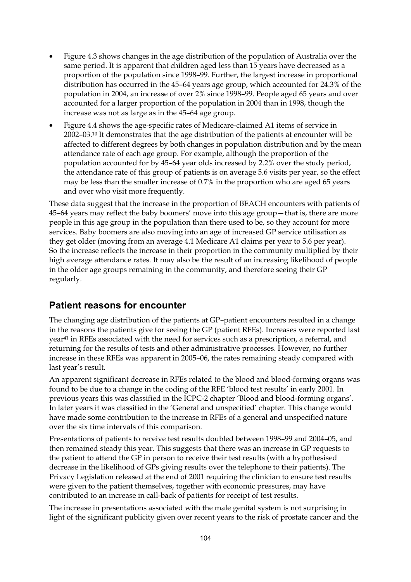- Figure 4.3 shows changes in the age distribution of the population of Australia over the same period. It is apparent that children aged less than 15 years have decreased as a proportion of the population since 1998–99. Further, the largest increase in proportional distribution has occurred in the 45–64 years age group, which accounted for 24.3% of the population in 2004, an increase of over 2% since 1998–99. People aged 65 years and over accounted for a larger proportion of the population in 2004 than in 1998, though the increase was not as large as in the 45–64 age group.
- Figure 4.4 shows the age-specific rates of Medicare-claimed A1 items of service in 2002–03.10 It demonstrates that the age distribution of the patients at encounter will be affected to different degrees by both changes in population distribution and by the mean attendance rate of each age group. For example, although the proportion of the population accounted for by 45–64 year olds increased by 2.2% over the study period, the attendance rate of this group of patients is on average 5.6 visits per year, so the effect may be less than the smaller increase of 0.7% in the proportion who are aged 65 years and over who visit more frequently.

These data suggest that the increase in the proportion of BEACH encounters with patients of 45–64 years may reflect the baby boomers' move into this age group—that is, there are more people in this age group in the population than there used to be, so they account for more services. Baby boomers are also moving into an age of increased GP service utilisation as they get older (moving from an average 4.1 Medicare A1 claims per year to 5.6 per year). So the increase reflects the increase in their proportion in the community multiplied by their high average attendance rates. It may also be the result of an increasing likelihood of people in the older age groups remaining in the community, and therefore seeing their GP regularly.

#### **Patient reasons for encounter**

The changing age distribution of the patients at GP-patient encounters resulted in a change in the reasons the patients give for seeing the GP (patient RFEs). Increases were reported last year41 in RFEs associated with the need for services such as a prescription, a referral, and returning for the results of tests and other administrative processes. However, no further increase in these RFEs was apparent in 2005–06, the rates remaining steady compared with last year's result.

An apparent significant decrease in RFEs related to the blood and blood-forming organs was found to be due to a change in the coding of the RFE 'blood test results' in early 2001. In previous years this was classified in the ICPC-2 chapter 'Blood and blood-forming organs'. In later years it was classified in the 'General and unspecified' chapter. This change would have made some contribution to the increase in RFEs of a general and unspecified nature over the six time intervals of this comparison.

Presentations of patients to receive test results doubled between 1998–99 and 2004–05, and then remained steady this year. This suggests that there was an increase in GP requests to the patient to attend the GP in person to receive their test results (with a hypothesised decrease in the likelihood of GPs giving results over the telephone to their patients). The Privacy Legislation released at the end of 2001 requiring the clinician to ensure test results were given to the patient themselves, together with economic pressures, may have contributed to an increase in call-back of patients for receipt of test results.

The increase in presentations associated with the male genital system is not surprising in light of the significant publicity given over recent years to the risk of prostate cancer and the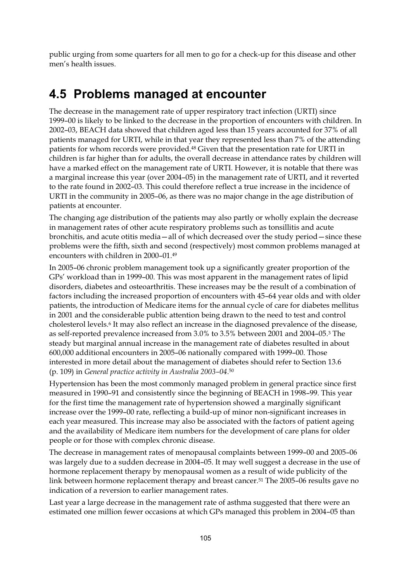public urging from some quarters for all men to go for a check-up for this disease and other men's health issues.

#### **4.5 Problems managed at encounter**

The decrease in the management rate of upper respiratory tract infection (URTI) since 1999–00 is likely to be linked to the decrease in the proportion of encounters with children. In 2002–03, BEACH data showed that children aged less than 15 years accounted for 37% of all patients managed for URTI, while in that year they represented less than 7% of the attending patients for whom records were provided.48 Given that the presentation rate for URTI in children is far higher than for adults, the overall decrease in attendance rates by children will have a marked effect on the management rate of URTI. However, it is notable that there was a marginal increase this year (over 2004–05) in the management rate of URTI, and it reverted to the rate found in 2002–03. This could therefore reflect a true increase in the incidence of URTI in the community in 2005–06, as there was no major change in the age distribution of patients at encounter.

The changing age distribution of the patients may also partly or wholly explain the decrease in management rates of other acute respiratory problems such as tonsillitis and acute bronchitis, and acute otitis media—all of which decreased over the study period—since these problems were the fifth, sixth and second (respectively) most common problems managed at encounters with children in 2000–01.49

In 2005–06 chronic problem management took up a significantly greater proportion of the GPs' workload than in 1999–00. This was most apparent in the management rates of lipid disorders, diabetes and osteoarthritis. These increases may be the result of a combination of factors including the increased proportion of encounters with 45–64 year olds and with older patients, the introduction of Medicare items for the annual cycle of care for diabetes mellitus in 2001 and the considerable public attention being drawn to the need to test and control cholesterol levels.6 It may also reflect an increase in the diagnosed prevalence of the disease, as self-reported prevalence increased from 3.0% to 3.5% between 2001 and 2004–05.3 The steady but marginal annual increase in the management rate of diabetes resulted in about 600,000 additional encounters in 2005–06 nationally compared with 1999–00. Those interested in more detail about the management of diabetes should refer to Section 13.6 (p. 109) in *General practice activity in Australia 2003–04*.50

Hypertension has been the most commonly managed problem in general practice since first measured in 1990–91 and consistently since the beginning of BEACH in 1998–99. This year for the first time the management rate of hypertension showed a marginally significant increase over the 1999–00 rate, reflecting a build-up of minor non-significant increases in each year measured. This increase may also be associated with the factors of patient ageing and the availability of Medicare item numbers for the development of care plans for older people or for those with complex chronic disease.

The decrease in management rates of menopausal complaints between 1999–00 and 2005–06 was largely due to a sudden decrease in 2004–05. It may well suggest a decrease in the use of hormone replacement therapy by menopausal women as a result of wide publicity of the link between hormone replacement therapy and breast cancer.51 The 2005–06 results gave no indication of a reversion to earlier management rates.

Last year a large decrease in the management rate of asthma suggested that there were an estimated one million fewer occasions at which GPs managed this problem in 2004–05 than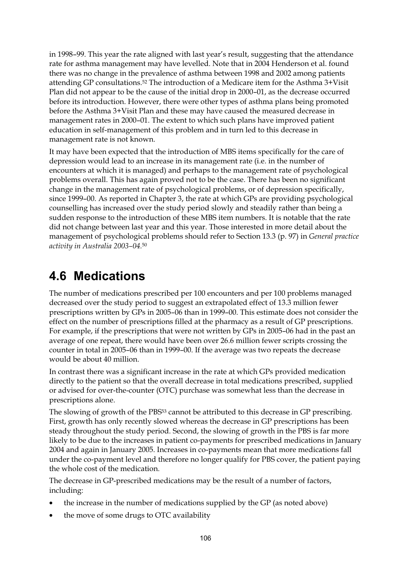in 1998–99. This year the rate aligned with last year's result, suggesting that the attendance rate for asthma management may have levelled. Note that in 2004 Henderson et al. found there was no change in the prevalence of asthma between 1998 and 2002 among patients attending GP consultations.52 The introduction of a Medicare item for the Asthma 3+Visit Plan did not appear to be the cause of the initial drop in 2000–01, as the decrease occurred before its introduction. However, there were other types of asthma plans being promoted before the Asthma 3+Visit Plan and these may have caused the measured decrease in management rates in 2000–01. The extent to which such plans have improved patient education in self-management of this problem and in turn led to this decrease in management rate is not known.

It may have been expected that the introduction of MBS items specifically for the care of depression would lead to an increase in its management rate (i.e. in the number of encounters at which it is managed) and perhaps to the management rate of psychological problems overall. This has again proved not to be the case. There has been no significant change in the management rate of psychological problems, or of depression specifically, since 1999–00. As reported in Chapter 3, the rate at which GPs are providing psychological counselling has increased over the study period slowly and steadily rather than being a sudden response to the introduction of these MBS item numbers. It is notable that the rate did not change between last year and this year. Those interested in more detail about the management of psychological problems should refer to Section 13.3 (p. 97) in *General practice activity in Australia 2003–04.*<sup>50</sup>

#### **4.6 Medications**

The number of medications prescribed per 100 encounters and per 100 problems managed decreased over the study period to suggest an extrapolated effect of 13.3 million fewer prescriptions written by GPs in 2005–06 than in 1999–00. This estimate does not consider the effect on the number of prescriptions filled at the pharmacy as a result of GP prescriptions. For example, if the prescriptions that were not written by GPs in 2005–06 had in the past an average of one repeat, there would have been over 26.6 million fewer scripts crossing the counter in total in 2005–06 than in 1999–00. If the average was two repeats the decrease would be about 40 million.

In contrast there was a significant increase in the rate at which GPs provided medication directly to the patient so that the overall decrease in total medications prescribed, supplied or advised for over-the-counter (OTC) purchase was somewhat less than the decrease in prescriptions alone.

The slowing of growth of the PBS53 cannot be attributed to this decrease in GP prescribing. First, growth has only recently slowed whereas the decrease in GP prescriptions has been steady throughout the study period. Second, the slowing of growth in the PBS is far more likely to be due to the increases in patient co-payments for prescribed medications in January 2004 and again in January 2005. Increases in co-payments mean that more medications fall under the co-payment level and therefore no longer qualify for PBS cover, the patient paying the whole cost of the medication.

The decrease in GP-prescribed medications may be the result of a number of factors, including:

- the increase in the number of medications supplied by the GP (as noted above)
- the move of some drugs to OTC availability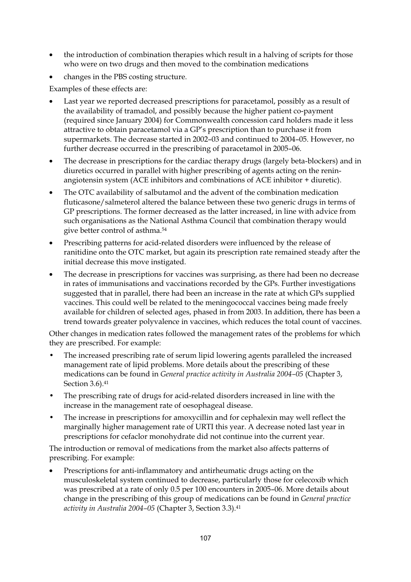- the introduction of combination therapies which result in a halving of scripts for those who were on two drugs and then moved to the combination medications
- changes in the PBS costing structure.

Examples of these effects are:

- Last year we reported decreased prescriptions for paracetamol, possibly as a result of the availability of tramadol, and possibly because the higher patient co-payment (required since January 2004) for Commonwealth concession card holders made it less attractive to obtain paracetamol via a GP's prescription than to purchase it from supermarkets. The decrease started in 2002–03 and continued to 2004–05. However, no further decrease occurred in the prescribing of paracetamol in 2005–06.
- The decrease in prescriptions for the cardiac therapy drugs (largely beta-blockers) and in diuretics occurred in parallel with higher prescribing of agents acting on the reninangiotensin system (ACE inhibitors and combinations of ACE inhibitor + diuretic).
- The OTC availability of salbutamol and the advent of the combination medication fluticasone/salmeterol altered the balance between these two generic drugs in terms of GP prescriptions. The former decreased as the latter increased, in line with advice from such organisations as the National Asthma Council that combination therapy would give better control of asthma.54
- Prescribing patterns for acid-related disorders were influenced by the release of ranitidine onto the OTC market, but again its prescription rate remained steady after the initial decrease this move instigated.
- The decrease in prescriptions for vaccines was surprising, as there had been no decrease in rates of immunisations and vaccinations recorded by the GPs. Further investigations suggested that in parallel, there had been an increase in the rate at which GPs supplied vaccines. This could well be related to the meningococcal vaccines being made freely available for children of selected ages, phased in from 2003. In addition, there has been a trend towards greater polyvalence in vaccines, which reduces the total count of vaccines.

Other changes in medication rates followed the management rates of the problems for which they are prescribed. For example:

- The increased prescribing rate of serum lipid lowering agents paralleled the increased management rate of lipid problems. More details about the prescribing of these medications can be found in *General practice activity in Australia 2004–05* (Chapter 3, Section 3.6).41
- The prescribing rate of drugs for acid-related disorders increased in line with the increase in the management rate of oesophageal disease.
- The increase in prescriptions for amoxycillin and for cephalexin may well reflect the marginally higher management rate of URTI this year. A decrease noted last year in prescriptions for cefaclor monohydrate did not continue into the current year.

The introduction or removal of medications from the market also affects patterns of prescribing. For example:

• Prescriptions for anti-inflammatory and antirheumatic drugs acting on the musculoskeletal system continued to decrease, particularly those for celecoxib which was prescribed at a rate of only 0.5 per 100 encounters in 2005–06. More details about change in the prescribing of this group of medications can be found in *General practice activity in Australia 2004–05* (Chapter 3, Section 3.3).41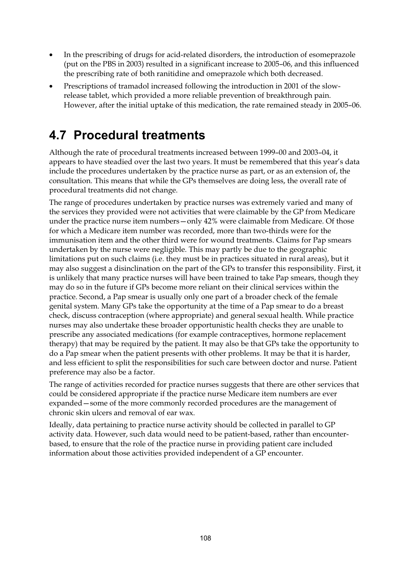- In the prescribing of drugs for acid-related disorders, the introduction of esomeprazole (put on the PBS in 2003) resulted in a significant increase to 2005–06, and this influenced the prescribing rate of both ranitidine and omeprazole which both decreased.
- Prescriptions of tramadol increased following the introduction in 2001 of the slowrelease tablet, which provided a more reliable prevention of breakthrough pain. However, after the initial uptake of this medication, the rate remained steady in 2005–06.

## **4.7 Procedural treatments**

Although the rate of procedural treatments increased between 1999–00 and 2003–04, it appears to have steadied over the last two years. It must be remembered that this year's data include the procedures undertaken by the practice nurse as part, or as an extension of, the consultation. This means that while the GPs themselves are doing less, the overall rate of procedural treatments did not change.

The range of procedures undertaken by practice nurses was extremely varied and many of the services they provided were not activities that were claimable by the GP from Medicare under the practice nurse item numbers—only 42% were claimable from Medicare. Of those for which a Medicare item number was recorded, more than two-thirds were for the immunisation item and the other third were for wound treatments. Claims for Pap smears undertaken by the nurse were negligible. This may partly be due to the geographic limitations put on such claims (i.e. they must be in practices situated in rural areas), but it may also suggest a disinclination on the part of the GPs to transfer this responsibility. First, it is unlikely that many practice nurses will have been trained to take Pap smears, though they may do so in the future if GPs become more reliant on their clinical services within the practice. Second, a Pap smear is usually only one part of a broader check of the female genital system. Many GPs take the opportunity at the time of a Pap smear to do a breast check, discuss contraception (where appropriate) and general sexual health. While practice nurses may also undertake these broader opportunistic health checks they are unable to prescribe any associated medications (for example contraceptives, hormone replacement therapy) that may be required by the patient. It may also be that GPs take the opportunity to do a Pap smear when the patient presents with other problems. It may be that it is harder, and less efficient to split the responsibilities for such care between doctor and nurse. Patient preference may also be a factor.

The range of activities recorded for practice nurses suggests that there are other services that could be considered appropriate if the practice nurse Medicare item numbers are ever expanded—some of the more commonly recorded procedures are the management of chronic skin ulcers and removal of ear wax.

Ideally, data pertaining to practice nurse activity should be collected in parallel to GP activity data. However, such data would need to be patient-based, rather than encounterbased, to ensure that the role of the practice nurse in providing patient care included information about those activities provided independent of a GP encounter.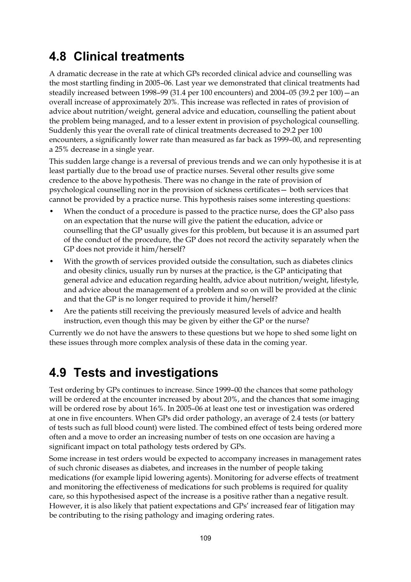## **4.8 Clinical treatments**

A dramatic decrease in the rate at which GPs recorded clinical advice and counselling was the most startling finding in 2005–06. Last year we demonstrated that clinical treatments had steadily increased between 1998–99 (31.4 per 100 encounters) and 2004–05 (39.2 per 100)—an overall increase of approximately 20%. This increase was reflected in rates of provision of advice about nutrition/weight, general advice and education, counselling the patient about the problem being managed, and to a lesser extent in provision of psychological counselling. Suddenly this year the overall rate of clinical treatments decreased to 29.2 per 100 encounters, a significantly lower rate than measured as far back as 1999–00, and representing a 25% decrease in a single year.

This sudden large change is a reversal of previous trends and we can only hypothesise it is at least partially due to the broad use of practice nurses. Several other results give some credence to the above hypothesis. There was no change in the rate of provision of psychological counselling nor in the provision of sickness certificates— both services that cannot be provided by a practice nurse. This hypothesis raises some interesting questions:

- When the conduct of a procedure is passed to the practice nurse, does the GP also pass on an expectation that the nurse will give the patient the education, advice or counselling that the GP usually gives for this problem, but because it is an assumed part of the conduct of the procedure, the GP does not record the activity separately when the GP does not provide it him/herself?
- With the growth of services provided outside the consultation, such as diabetes clinics and obesity clinics, usually run by nurses at the practice, is the GP anticipating that general advice and education regarding health, advice about nutrition/weight, lifestyle, and advice about the management of a problem and so on will be provided at the clinic and that the GP is no longer required to provide it him/herself?
- Are the patients still receiving the previously measured levels of advice and health instruction, even though this may be given by either the GP or the nurse?

Currently we do not have the answers to these questions but we hope to shed some light on these issues through more complex analysis of these data in the coming year.

## **4.9 Tests and investigations**

Test ordering by GPs continues to increase. Since 1999–00 the chances that some pathology will be ordered at the encounter increased by about 20%, and the chances that some imaging will be ordered rose by about 16%. In 2005–06 at least one test or investigation was ordered at one in five encounters. When GPs did order pathology, an average of 2.4 tests (or battery of tests such as full blood count) were listed. The combined effect of tests being ordered more often and a move to order an increasing number of tests on one occasion are having a significant impact on total pathology tests ordered by GPs.

Some increase in test orders would be expected to accompany increases in management rates of such chronic diseases as diabetes, and increases in the number of people taking medications (for example lipid lowering agents). Monitoring for adverse effects of treatment and monitoring the effectiveness of medications for such problems is required for quality care, so this hypothesised aspect of the increase is a positive rather than a negative result. However, it is also likely that patient expectations and GPs' increased fear of litigation may be contributing to the rising pathology and imaging ordering rates.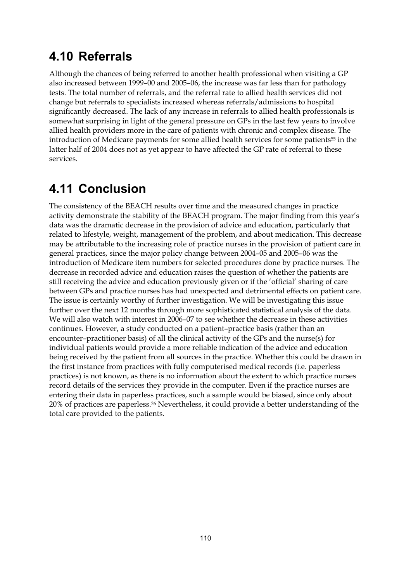## **4.10 Referrals**

Although the chances of being referred to another health professional when visiting a GP also increased between 1999–00 and 2005–06, the increase was far less than for pathology tests. The total number of referrals, and the referral rate to allied health services did not change but referrals to specialists increased whereas referrals/admissions to hospital significantly decreased. The lack of any increase in referrals to allied health professionals is somewhat surprising in light of the general pressure on GPs in the last few years to involve allied health providers more in the care of patients with chronic and complex disease. The introduction of Medicare payments for some allied health services for some patients<sup>55</sup> in the latter half of 2004 does not as yet appear to have affected the GP rate of referral to these services.

## **4.11 Conclusion**

The consistency of the BEACH results over time and the measured changes in practice activity demonstrate the stability of the BEACH program. The major finding from this year's data was the dramatic decrease in the provision of advice and education, particularly that related to lifestyle, weight, management of the problem, and about medication. This decrease may be attributable to the increasing role of practice nurses in the provision of patient care in general practices, since the major policy change between 2004–05 and 2005–06 was the introduction of Medicare item numbers for selected procedures done by practice nurses. The decrease in recorded advice and education raises the question of whether the patients are still receiving the advice and education previously given or if the 'official' sharing of care between GPs and practice nurses has had unexpected and detrimental effects on patient care. The issue is certainly worthy of further investigation. We will be investigating this issue further over the next 12 months through more sophisticated statistical analysis of the data. We will also watch with interest in 2006–07 to see whether the decrease in these activities continues. However, a study conducted on a patient–practice basis (rather than an encounter–practitioner basis) of all the clinical activity of the GPs and the nurse(s) for individual patients would provide a more reliable indication of the advice and education being received by the patient from all sources in the practice. Whether this could be drawn in the first instance from practices with fully computerised medical records (i.e. paperless practices) is not known, as there is no information about the extent to which practice nurses record details of the services they provide in the computer. Even if the practice nurses are entering their data in paperless practices, such a sample would be biased, since only about 20% of practices are paperless.26 Nevertheless, it could provide a better understanding of the total care provided to the patients.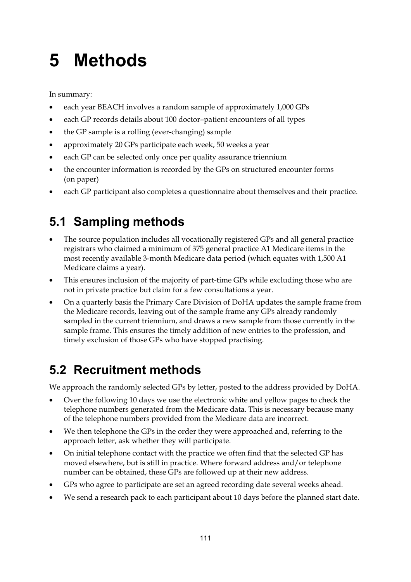# **5 Methods**

In summary:

- each year BEACH involves a random sample of approximately 1,000 GPs
- each GP records details about 100 doctor-patient encounters of all types
- the GP sample is a rolling (ever-changing) sample
- approximately 20 GPs participate each week, 50 weeks a year
- each GP can be selected only once per quality assurance triennium
- the encounter information is recorded by the GPs on structured encounter forms (on paper)
- each GP participant also completes a questionnaire about themselves and their practice.

# **5.1 Sampling methods**

- The source population includes all vocationally registered GPs and all general practice registrars who claimed a minimum of 375 general practice A1 Medicare items in the most recently available 3-month Medicare data period (which equates with 1,500 A1 Medicare claims a year).
- This ensures inclusion of the majority of part-time GPs while excluding those who are not in private practice but claim for a few consultations a year.
- On a quarterly basis the Primary Care Division of DoHA updates the sample frame from the Medicare records, leaving out of the sample frame any GPs already randomly sampled in the current triennium, and draws a new sample from those currently in the sample frame. This ensures the timely addition of new entries to the profession, and timely exclusion of those GPs who have stopped practising.

# **5.2 Recruitment methods**

We approach the randomly selected GPs by letter, posted to the address provided by DoHA.

- Over the following 10 days we use the electronic white and yellow pages to check the telephone numbers generated from the Medicare data. This is necessary because many of the telephone numbers provided from the Medicare data are incorrect.
- We then telephone the GPs in the order they were approached and, referring to the approach letter, ask whether they will participate.
- On initial telephone contact with the practice we often find that the selected GP has moved elsewhere, but is still in practice. Where forward address and/or telephone number can be obtained, these GPs are followed up at their new address.
- GPs who agree to participate are set an agreed recording date several weeks ahead.
- We send a research pack to each participant about 10 days before the planned start date.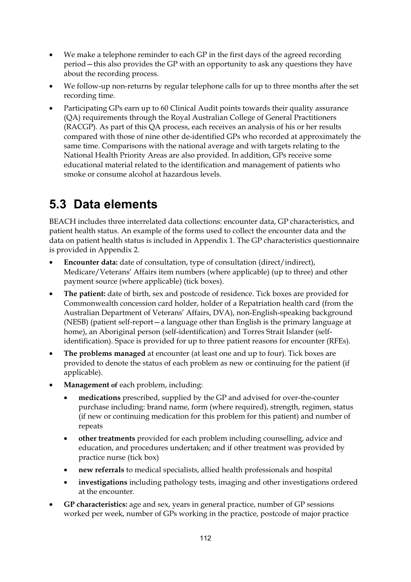- We make a telephone reminder to each GP in the first days of the agreed recording period—this also provides the GP with an opportunity to ask any questions they have about the recording process.
- We follow-up non-returns by regular telephone calls for up to three months after the set recording time.
- Participating GPs earn up to 60 Clinical Audit points towards their quality assurance (QA) requirements through the Royal Australian College of General Practitioners (RACGP). As part of this QA process, each receives an analysis of his or her results compared with those of nine other de-identified GPs who recorded at approximately the same time. Comparisons with the national average and with targets relating to the National Health Priority Areas are also provided. In addition, GPs receive some educational material related to the identification and management of patients who smoke or consume alcohol at hazardous levels.

# **5.3 Data elements**

BEACH includes three interrelated data collections: encounter data, GP characteristics, and patient health status. An example of the forms used to collect the encounter data and the data on patient health status is included in Appendix 1. The GP characteristics questionnaire is provided in Appendix 2.

- **Encounter data:** date of consultation, type of consultation (direct/indirect), Medicare/Veterans' Affairs item numbers (where applicable) (up to three) and other payment source (where applicable) (tick boxes).
- **The patient:** date of birth, sex and postcode of residence. Tick boxes are provided for Commonwealth concession card holder, holder of a Repatriation health card (from the Australian Department of Veterans' Affairs, DVA), non-English-speaking background (NESB) (patient self-report—a language other than English is the primary language at home), an Aboriginal person (self-identification) and Torres Strait Islander (selfidentification). Space is provided for up to three patient reasons for encounter (RFEs).
- **The problems managed** at encounter (at least one and up to four). Tick boxes are provided to denote the status of each problem as new or continuing for the patient (if applicable).
- **Management of** each problem, including:
	- **medications** prescribed, supplied by the GP and advised for over-the-counter purchase including: brand name, form (where required), strength, regimen, status (if new or continuing medication for this problem for this patient) and number of repeats
	- **other treatments** provided for each problem including counselling, advice and education, and procedures undertaken; and if other treatment was provided by practice nurse (tick box)
	- **new referrals** to medical specialists, allied health professionals and hospital
	- **investigations** including pathology tests, imaging and other investigations ordered at the encounter.
- **GP characteristics:** age and sex, years in general practice, number of GP sessions worked per week, number of GPs working in the practice, postcode of major practice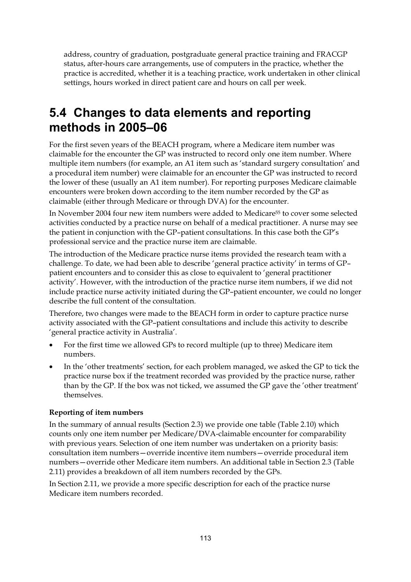address, country of graduation, postgraduate general practice training and FRACGP status, after-hours care arrangements, use of computers in the practice, whether the practice is accredited, whether it is a teaching practice, work undertaken in other clinical settings, hours worked in direct patient care and hours on call per week.

## **5.4 Changes to data elements and reporting methods in 2005–06**

For the first seven years of the BEACH program, where a Medicare item number was claimable for the encounter the GP was instructed to record only one item number. Where multiple item numbers (for example, an A1 item such as 'standard surgery consultation' and a procedural item number) were claimable for an encounter the GP was instructed to record the lower of these (usually an A1 item number). For reporting purposes Medicare claimable encounters were broken down according to the item number recorded by the GP as claimable (either through Medicare or through DVA) for the encounter.

In November 2004 four new item numbers were added to Medicare55 to cover some selected activities conducted by a practice nurse on behalf of a medical practitioner. A nurse may see the patient in conjunction with the GP–patient consultations. In this case both the GP's professional service and the practice nurse item are claimable.

The introduction of the Medicare practice nurse items provided the research team with a challenge. To date, we had been able to describe 'general practice activity' in terms of GP– patient encounters and to consider this as close to equivalent to 'general practitioner activity'. However, with the introduction of the practice nurse item numbers, if we did not include practice nurse activity initiated during the GP–patient encounter, we could no longer describe the full content of the consultation.

Therefore, two changes were made to the BEACH form in order to capture practice nurse activity associated with the GP–patient consultations and include this activity to describe 'general practice activity in Australia'.

- For the first time we allowed GPs to record multiple (up to three) Medicare item numbers.
- In the 'other treatments' section, for each problem managed, we asked the GP to tick the practice nurse box if the treatment recorded was provided by the practice nurse, rather than by the GP. If the box was not ticked, we assumed the GP gave the 'other treatment' themselves.

#### **Reporting of item numbers**

In the summary of annual results (Section 2.3) we provide one table (Table 2.10) which counts only one item number per Medicare/DVA-claimable encounter for comparability with previous years. Selection of one item number was undertaken on a priority basis: consultation item numbers—override incentive item numbers—override procedural item numbers—override other Medicare item numbers. An additional table in Section 2.3 (Table 2.11) provides a breakdown of all item numbers recorded by the GPs.

In Section 2.11, we provide a more specific description for each of the practice nurse Medicare item numbers recorded.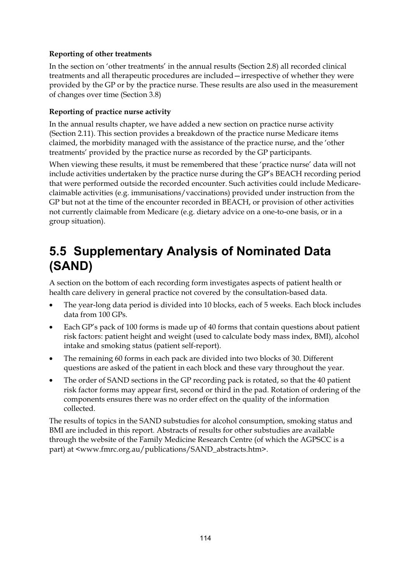#### **Reporting of other treatments**

In the section on 'other treatments' in the annual results (Section 2.8) all recorded clinical treatments and all therapeutic procedures are included—irrespective of whether they were provided by the GP or by the practice nurse. These results are also used in the measurement of changes over time (Section 3.8)

#### **Reporting of practice nurse activity**

In the annual results chapter, we have added a new section on practice nurse activity (Section 2.11). This section provides a breakdown of the practice nurse Medicare items claimed, the morbidity managed with the assistance of the practice nurse, and the 'other treatments' provided by the practice nurse as recorded by the GP participants.

When viewing these results, it must be remembered that these 'practice nurse' data will not include activities undertaken by the practice nurse during the GP's BEACH recording period that were performed outside the recorded encounter. Such activities could include Medicareclaimable activities (e.g. immunisations/vaccinations) provided under instruction from the GP but not at the time of the encounter recorded in BEACH, or provision of other activities not currently claimable from Medicare (e.g. dietary advice on a one-to-one basis, or in a group situation).

## **5.5 Supplementary Analysis of Nominated Data (SAND)**

A section on the bottom of each recording form investigates aspects of patient health or health care delivery in general practice not covered by the consultation-based data.

- The year-long data period is divided into 10 blocks, each of 5 weeks. Each block includes data from 100 GPs.
- Each GP's pack of 100 forms is made up of 40 forms that contain questions about patient risk factors: patient height and weight (used to calculate body mass index, BMI), alcohol intake and smoking status (patient self-report).
- The remaining 60 forms in each pack are divided into two blocks of 30. Different questions are asked of the patient in each block and these vary throughout the year.
- The order of SAND sections in the GP recording pack is rotated, so that the 40 patient risk factor forms may appear first, second or third in the pad. Rotation of ordering of the components ensures there was no order effect on the quality of the information collected.

The results of topics in the SAND substudies for alcohol consumption, smoking status and BMI are included in this report. Abstracts of results for other substudies are available through the website of the Family Medicine Research Centre (of which the AGPSCC is a part) at <www.fmrc.org.au/publications/SAND\_abstracts.htm>.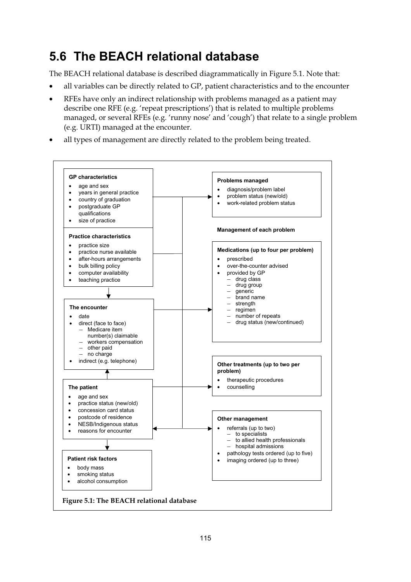## **5.6 The BEACH relational database**

The BEACH relational database is described diagrammatically in Figure 5.1. Note that:

- all variables can be directly related to GP, patient characteristics and to the encounter
- RFEs have only an indirect relationship with problems managed as a patient may describe one RFE (e.g. 'repeat prescriptions') that is related to multiple problems managed, or several RFEs (e.g. 'runny nose' and 'cough') that relate to a single problem (e.g. URTI) managed at the encounter.
- all types of management are directly related to the problem being treated.

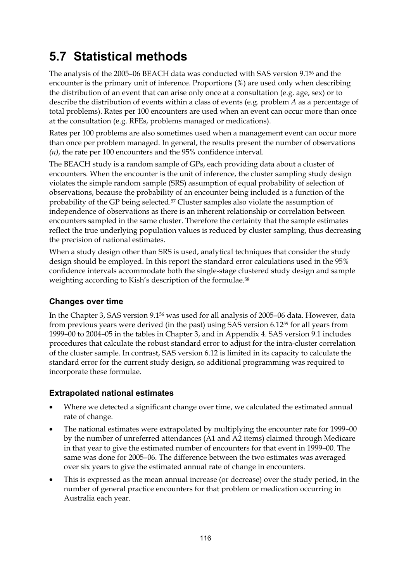# **5.7 Statistical methods**

The analysis of the 2005–06 BEACH data was conducted with SAS version 9.156 and the encounter is the primary unit of inference. Proportions (%) are used only when describing the distribution of an event that can arise only once at a consultation (e.g. age, sex) or to describe the distribution of events within a class of events (e.g. problem *A* as a percentage of total problems). Rates per 100 encounters are used when an event can occur more than once at the consultation (e.g. RFEs, problems managed or medications).

Rates per 100 problems are also sometimes used when a management event can occur more than once per problem managed. In general, the results present the number of observations *(n)*, the rate per 100 encounters and the 95% confidence interval.

The BEACH study is a random sample of GPs, each providing data about a cluster of encounters. When the encounter is the unit of inference, the cluster sampling study design violates the simple random sample (SRS) assumption of equal probability of selection of observations, because the probability of an encounter being included is a function of the probability of the GP being selected.<sup>57</sup> Cluster samples also violate the assumption of independence of observations as there is an inherent relationship or correlation between encounters sampled in the same cluster. Therefore the certainty that the sample estimates reflect the true underlying population values is reduced by cluster sampling, thus decreasing the precision of national estimates.

When a study design other than SRS is used, analytical techniques that consider the study design should be employed. In this report the standard error calculations used in the 95% confidence intervals accommodate both the single-stage clustered study design and sample weighting according to Kish's description of the formulae.58

#### **Changes over time**

In the Chapter 3, SAS version 9.156 was used for all analysis of 2005–06 data. However, data from previous years were derived (in the past) using SAS version 6.1259 for all years from 1999–00 to 2004–05 in the tables in Chapter 3, and in Appendix 4. SAS version 9.1 includes procedures that calculate the robust standard error to adjust for the intra-cluster correlation of the cluster sample. In contrast, SAS version 6.12 is limited in its capacity to calculate the standard error for the current study design, so additional programming was required to incorporate these formulae.

#### **Extrapolated national estimates**

- Where we detected a significant change over time, we calculated the estimated annual rate of change.
- The national estimates were extrapolated by multiplying the encounter rate for 1999–00 by the number of unreferred attendances (A1 and A2 items) claimed through Medicare in that year to give the estimated number of encounters for that event in 1999–00. The same was done for 2005–06. The difference between the two estimates was averaged over six years to give the estimated annual rate of change in encounters.
- This is expressed as the mean annual increase (or decrease) over the study period, in the number of general practice encounters for that problem or medication occurring in Australia each year.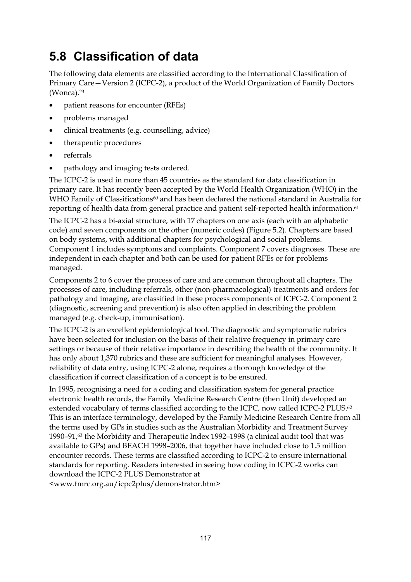## **5.8 Classification of data**

The following data elements are classified according to the International Classification of Primary Care—Version 2 (ICPC-2), a product of the World Organization of Family Doctors (Wonca).23

- patient reasons for encounter (RFEs)
- problems managed
- clinical treatments (e.g. counselling, advice)
- therapeutic procedures
- referrals
- pathology and imaging tests ordered.

The ICPC-2 is used in more than 45 countries as the standard for data classification in primary care. It has recently been accepted by the World Health Organization (WHO) in the WHO Family of Classifications<sup>60</sup> and has been declared the national standard in Australia for reporting of health data from general practice and patient self-reported health information.<sup>61</sup>

The ICPC-2 has a bi-axial structure, with 17 chapters on one axis (each with an alphabetic code) and seven components on the other (numeric codes) (Figure 5.2). Chapters are based on body systems, with additional chapters for psychological and social problems. Component 1 includes symptoms and complaints. Component 7 covers diagnoses. These are independent in each chapter and both can be used for patient RFEs or for problems managed.

Components 2 to 6 cover the process of care and are common throughout all chapters. The processes of care, including referrals, other (non-pharmacological) treatments and orders for pathology and imaging, are classified in these process components of ICPC-2. Component 2 (diagnostic, screening and prevention) is also often applied in describing the problem managed (e.g. check-up, immunisation).

The ICPC-2 is an excellent epidemiological tool. The diagnostic and symptomatic rubrics have been selected for inclusion on the basis of their relative frequency in primary care settings or because of their relative importance in describing the health of the community. It has only about 1,370 rubrics and these are sufficient for meaningful analyses. However, reliability of data entry, using ICPC-2 alone, requires a thorough knowledge of the classification if correct classification of a concept is to be ensured.

In 1995, recognising a need for a coding and classification system for general practice electronic health records, the Family Medicine Research Centre (then Unit) developed an extended vocabulary of terms classified according to the ICPC, now called ICPC-2 PLUS.<sup>62</sup> This is an interface terminology, developed by the Family Medicine Research Centre from all the terms used by GPs in studies such as the Australian Morbidity and Treatment Survey 1990–91 $/63$  the Morbidity and Therapeutic Index 1992–1998 (a clinical audit tool that was available to GPs) and BEACH 1998–2006, that together have included close to 1.5 million encounter records. These terms are classified according to ICPC-2 to ensure international standards for reporting. Readers interested in seeing how coding in ICPC-2 works can download the ICPC-2 PLUS Demonstrator at

<www.fmrc.org.au/icpc2plus/demonstrator.htm>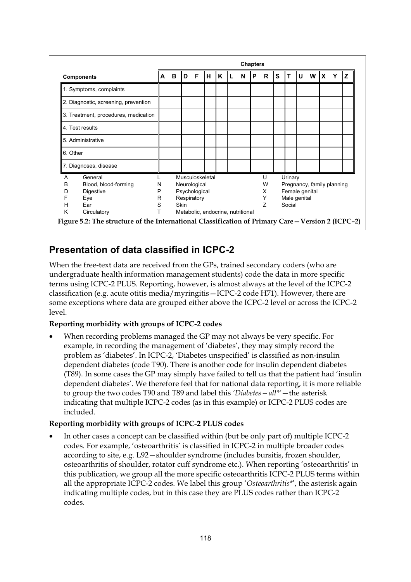|                       |                                      | <b>Chapters</b>                        |                                                 |   |   |   |   |  |   |   |   |   |   |   |   |             |   |   |
|-----------------------|--------------------------------------|----------------------------------------|-------------------------------------------------|---|---|---|---|--|---|---|---|---|---|---|---|-------------|---|---|
|                       | <b>Components</b>                    | A                                      | B                                               | D | F | н | K |  | N | P | R | S | т | U | W | $\mathbf x$ | Υ | z |
|                       | 1. Symptoms, complaints              |                                        |                                                 |   |   |   |   |  |   |   |   |   |   |   |   |             |   |   |
|                       | 2. Diagnostic, screening, prevention |                                        |                                                 |   |   |   |   |  |   |   |   |   |   |   |   |             |   |   |
|                       | 3. Treatment, procedures, medication |                                        |                                                 |   |   |   |   |  |   |   |   |   |   |   |   |             |   |   |
| 4. Test results       |                                      |                                        |                                                 |   |   |   |   |  |   |   |   |   |   |   |   |             |   |   |
| 5. Administrative     |                                      |                                        |                                                 |   |   |   |   |  |   |   |   |   |   |   |   |             |   |   |
| 6. Other              |                                      |                                        |                                                 |   |   |   |   |  |   |   |   |   |   |   |   |             |   |   |
| 7. Diagnoses, disease |                                      |                                        |                                                 |   |   |   |   |  |   |   |   |   |   |   |   |             |   |   |
| A                     | General                              | Musculoskeletal<br>U<br>Urinary        |                                                 |   |   |   |   |  |   |   |   |   |   |   |   |             |   |   |
| в                     | Blood, blood-forming                 | N                                      | Neurological<br>Pregnancy, family planning<br>W |   |   |   |   |  |   |   |   |   |   |   |   |             |   |   |
| D                     | Digestive                            | P                                      | Female genital<br>Psychological<br>X            |   |   |   |   |  |   |   |   |   |   |   |   |             |   |   |
| F                     | Eye                                  | R                                      | Respiratory<br>Y<br>Male genital                |   |   |   |   |  |   |   |   |   |   |   |   |             |   |   |
| Н                     | Ear                                  | S                                      | $\overline{z}$<br><b>Skin</b><br>Social         |   |   |   |   |  |   |   |   |   |   |   |   |             |   |   |
| K                     | Circulatory                          | T<br>Metabolic, endocrine, nutritional |                                                 |   |   |   |   |  |   |   |   |   |   |   |   |             |   |   |

#### **Presentation of data classified in ICPC-2**

When the free-text data are received from the GPs, trained secondary coders (who are undergraduate health information management students) code the data in more specific terms using ICPC-2 PLUS. Reporting, however, is almost always at the level of the ICPC-2 classification (e.g. acute otitis media/myringitis—ICPC-2 code H71). However, there are some exceptions where data are grouped either above the ICPC-2 level or across the ICPC-2 level.

#### **Reporting morbidity with groups of ICPC-2 codes**

• When recording problems managed the GP may not always be very specific. For example, in recording the management of 'diabetes', they may simply record the problem as 'diabetes'. In ICPC-2, 'Diabetes unspecified' is classified as non-insulin dependent diabetes (code T90). There is another code for insulin dependent diabetes (T89). In some cases the GP may simply have failed to tell us that the patient had 'insulin dependent diabetes'. We therefore feel that for national data reporting, it is more reliable to group the two codes T90 and T89 and label this *'Diabetes—all\*'*—the asterisk indicating that multiple ICPC-2 codes (as in this example) or ICPC-2 PLUS codes are included.

#### **Reporting morbidity with groups of ICPC-2 PLUS codes**

• In other cases a concept can be classified within (but be only part of) multiple ICPC-2 codes. For example, 'osteoarthritis' is classified in ICPC-2 in multiple broader codes according to site, e.g. L92—shoulder syndrome (includes bursitis, frozen shoulder, osteoarthritis of shoulder, rotator cuff syndrome etc.). When reporting 'osteoarthritis' in this publication, we group all the more specific osteoarthritis ICPC-2 PLUS terms within all the appropriate ICPC-2 codes. We label this group '*Osteoarthritis\**', the asterisk again indicating multiple codes, but in this case they are PLUS codes rather than ICPC-2 codes.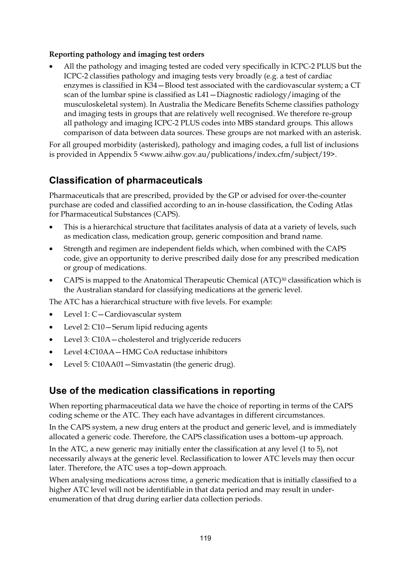#### **Reporting pathology and imaging test orders**

• All the pathology and imaging tested are coded very specifically in ICPC-2 PLUS but the ICPC-2 classifies pathology and imaging tests very broadly (e.g. a test of cardiac enzymes is classified in K34—Blood test associated with the cardiovascular system; a CT scan of the lumbar spine is classified as L41—Diagnostic radiology/imaging of the musculoskeletal system). In Australia the Medicare Benefits Scheme classifies pathology and imaging tests in groups that are relatively well recognised. We therefore re-group all pathology and imaging ICPC-2 PLUS codes into MBS standard groups. This allows comparison of data between data sources. These groups are not marked with an asterisk.

For all grouped morbidity (asterisked), pathology and imaging codes, a full list of inclusions is provided in Appendix 5 <www.aihw.gov.au/publications/index.cfm/subject/19>.

#### **Classification of pharmaceuticals**

Pharmaceuticals that are prescribed, provided by the GP or advised for over-the-counter purchase are coded and classified according to an in-house classification, the Coding Atlas for Pharmaceutical Substances (CAPS).

- This is a hierarchical structure that facilitates analysis of data at a variety of levels, such as medication class, medication group, generic composition and brand name.
- Strength and regimen are independent fields which, when combined with the CAPS code, give an opportunity to derive prescribed daily dose for any prescribed medication or group of medications.
- CAPS is mapped to the Anatomical Therapeutic Chemical  $(ATC)^{30}$  classification which is the Australian standard for classifying medications at the generic level.

The ATC has a hierarchical structure with five levels. For example:

- Level 1: C-Cardiovascular system
- Level 2: C10 Serum lipid reducing agents
- Level 3: C10A cholesterol and triglyceride reducers
- Level 4:C10AA—HMG CoA reductase inhibitors
- Level 5: C10AA01 Simvastatin (the generic drug).

#### **Use of the medication classifications in reporting**

When reporting pharmaceutical data we have the choice of reporting in terms of the CAPS coding scheme or the ATC. They each have advantages in different circumstances.

In the CAPS system, a new drug enters at the product and generic level, and is immediately allocated a generic code. Therefore, the CAPS classification uses a bottom–up approach.

In the ATC, a new generic may initially enter the classification at any level (1 to 5), not necessarily always at the generic level. Reclassification to lower ATC levels may then occur later. Therefore, the ATC uses a top–down approach.

When analysing medications across time, a generic medication that is initially classified to a higher ATC level will not be identifiable in that data period and may result in underenumeration of that drug during earlier data collection periods.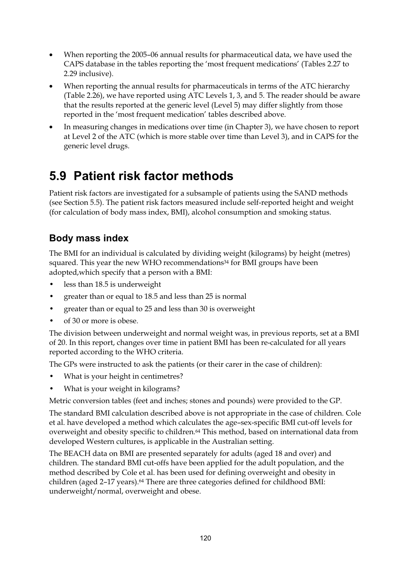- When reporting the 2005–06 annual results for pharmaceutical data, we have used the CAPS database in the tables reporting the 'most frequent medications' (Tables 2.27 to 2.29 inclusive).
- When reporting the annual results for pharmaceuticals in terms of the ATC hierarchy (Table 2.26), we have reported using ATC Levels 1, 3, and 5. The reader should be aware that the results reported at the generic level (Level 5) may differ slightly from those reported in the 'most frequent medication' tables described above.
- In measuring changes in medications over time (in Chapter 3), we have chosen to report at Level 2 of the ATC (which is more stable over time than Level 3), and in CAPS for the generic level drugs.

## **5.9 Patient risk factor methods**

Patient risk factors are investigated for a subsample of patients using the SAND methods (see Section 5.5). The patient risk factors measured include self-reported height and weight (for calculation of body mass index, BMI), alcohol consumption and smoking status.

#### **Body mass index**

The BMI for an individual is calculated by dividing weight (kilograms) by height (metres) squared. This year the new WHO recommendations<sup>34</sup> for BMI groups have been adopted,which specify that a person with a BMI:

- less than 18.5 is underweight
- greater than or equal to 18.5 and less than 25 is normal
- greater than or equal to 25 and less than 30 is overweight
- of 30 or more is obese.

The division between underweight and normal weight was, in previous reports, set at a BMI of 20. In this report, changes over time in patient BMI has been re-calculated for all years reported according to the WHO criteria.

The GPs were instructed to ask the patients (or their carer in the case of children):

- What is your height in centimetres?
- What is your weight in kilograms?

Metric conversion tables (feet and inches; stones and pounds) were provided to the GP.

The standard BMI calculation described above is not appropriate in the case of children. Cole et al. have developed a method which calculates the age–sex-specific BMI cut-off levels for overweight and obesity specific to children.64 This method, based on international data from developed Western cultures, is applicable in the Australian setting.

The BEACH data on BMI are presented separately for adults (aged 18 and over) and children. The standard BMI cut-offs have been applied for the adult population, and the method described by Cole et al. has been used for defining overweight and obesity in children (aged 2–17 years).64 There are three categories defined for childhood BMI: underweight/normal, overweight and obese.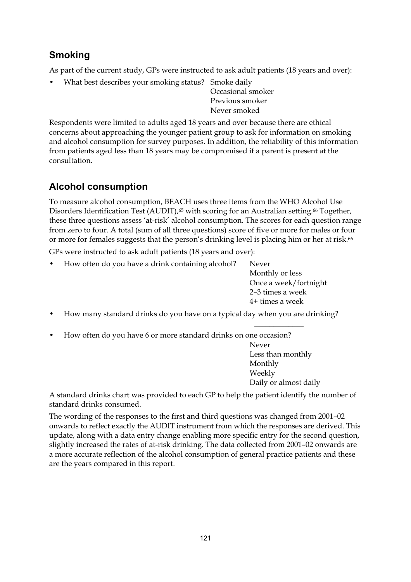#### **Smoking**

As part of the current study, GPs were instructed to ask adult patients (18 years and over):

• What best describes your smoking status? Smoke daily

Occasional smoker Previous smoker Never smoked

Respondents were limited to adults aged 18 years and over because there are ethical concerns about approaching the younger patient group to ask for information on smoking and alcohol consumption for survey purposes. In addition, the reliability of this information from patients aged less than 18 years may be compromised if a parent is present at the consultation.

#### **Alcohol consumption**

To measure alcohol consumption, BEACH uses three items from the WHO Alcohol Use Disorders Identification Test (AUDIT),<sup>65</sup> with scoring for an Australian setting.<sup>66</sup> Together, these three questions assess 'at-risk' alcohol consumption. The scores for each question range from zero to four. A total (sum of all three questions) score of five or more for males or four or more for females suggests that the person's drinking level is placing him or her at risk.<sup>66</sup>

GPs were instructed to ask adult patients (18 years and over):

• How often do you have a drink containing alcohol? Never

Monthly or less Once a week/fortnight 2–3 times a week 4+ times a week

- How many standard drinks do you have on a typical day when you are drinking?
- How often do you have 6 or more standard drinks on one occasion?

 $\mathcal{L}_\text{max}$  and  $\mathcal{L}_\text{max}$  are the set of the set of the set of the set of the set of the set of the set of the set of the set of the set of the set of the set of the set of the set of the set of the set of the set o

Never Less than monthly Monthly Weekly Daily or almost daily

A standard drinks chart was provided to each GP to help the patient identify the number of standard drinks consumed.

The wording of the responses to the first and third questions was changed from 2001–02 onwards to reflect exactly the AUDIT instrument from which the responses are derived. This update, along with a data entry change enabling more specific entry for the second question, slightly increased the rates of at-risk drinking. The data collected from 2001–02 onwards are a more accurate reflection of the alcohol consumption of general practice patients and these are the years compared in this report.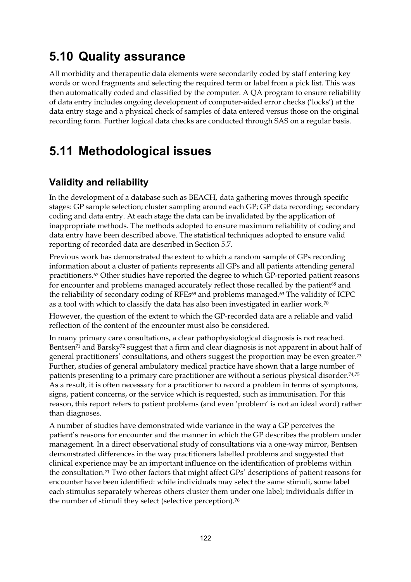## **5.10 Quality assurance**

All morbidity and therapeutic data elements were secondarily coded by staff entering key words or word fragments and selecting the required term or label from a pick list. This was then automatically coded and classified by the computer. A QA program to ensure reliability of data entry includes ongoing development of computer-aided error checks ('locks') at the data entry stage and a physical check of samples of data entered versus those on the original recording form. Further logical data checks are conducted through SAS on a regular basis.

#### **5.11 Methodological issues**

#### **Validity and reliability**

In the development of a database such as BEACH, data gathering moves through specific stages: GP sample selection; cluster sampling around each GP; GP data recording; secondary coding and data entry. At each stage the data can be invalidated by the application of inappropriate methods. The methods adopted to ensure maximum reliability of coding and data entry have been described above. The statistical techniques adopted to ensure valid reporting of recorded data are described in Section 5.7.

Previous work has demonstrated the extent to which a random sample of GPs recording information about a cluster of patients represents all GPs and all patients attending general practitioners.67 Other studies have reported the degree to which GP-reported patient reasons for encounter and problems managed accurately reflect those recalled by the patient<sup>68</sup> and the reliability of secondary coding of RFEs<sup>69</sup> and problems managed.<sup>63</sup> The validity of ICPC as a tool with which to classify the data has also been investigated in earlier work.70

However, the question of the extent to which the GP-recorded data are a reliable and valid reflection of the content of the encounter must also be considered.

In many primary care consultations, a clear pathophysiological diagnosis is not reached. Bentsen71 and Barsky72 suggest that a firm and clear diagnosis is not apparent in about half of general practitioners' consultations, and others suggest the proportion may be even greater.73 Further, studies of general ambulatory medical practice have shown that a large number of patients presenting to a primary care practitioner are without a serious physical disorder.74,75 As a result, it is often necessary for a practitioner to record a problem in terms of symptoms, signs, patient concerns, or the service which is requested, such as immunisation. For this reason, this report refers to patient problems (and even 'problem' is not an ideal word) rather than diagnoses.

A number of studies have demonstrated wide variance in the way a GP perceives the patient's reasons for encounter and the manner in which the GP describes the problem under management. In a direct observational study of consultations via a one-way mirror, Bentsen demonstrated differences in the way practitioners labelled problems and suggested that clinical experience may be an important influence on the identification of problems within the consultation.71 Two other factors that might affect GPs' descriptions of patient reasons for encounter have been identified: while individuals may select the same stimuli, some label each stimulus separately whereas others cluster them under one label; individuals differ in the number of stimuli they select (selective perception).<sup>76</sup>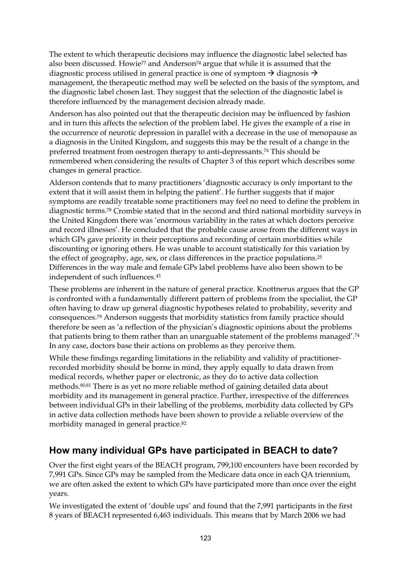The extent to which therapeutic decisions may influence the diagnostic label selected has also been discussed. Howie<sup>77</sup> and Anderson<sup>74</sup> argue that while it is assumed that the diagnostic process utilised in general practice is one of symptom  $\rightarrow$  diagnosis  $\rightarrow$ management, the therapeutic method may well be selected on the basis of the symptom, and the diagnostic label chosen last. They suggest that the selection of the diagnostic label is therefore influenced by the management decision already made.

Anderson has also pointed out that the therapeutic decision may be influenced by fashion and in turn this affects the selection of the problem label. He gives the example of a rise in the occurrence of neurotic depression in parallel with a decrease in the use of menopause as a diagnosis in the United Kingdom, and suggests this may be the result of a change in the preferred treatment from oestrogen therapy to anti-depressants.74 This should be remembered when considering the results of Chapter 3 of this report which describes some changes in general practice.

Alderson contends that to many practitioners 'diagnostic accuracy is only important to the extent that it will assist them in helping the patient'. He further suggests that if major symptoms are readily treatable some practitioners may feel no need to define the problem in diagnostic terms.78 Crombie stated that in the second and third national morbidity surveys in the United Kingdom there was 'enormous variability in the rates at which doctors perceive and record illnesses'. He concluded that the probable cause arose from the different ways in which GPs gave priority in their perceptions and recording of certain morbidities while discounting or ignoring others. He was unable to account statistically for this variation by the effect of geography, age, sex, or class differences in the practice populations.<sup>25</sup> Differences in the way male and female GPs label problems have also been shown to be independent of such influences.43

These problems are inherent in the nature of general practice. Knottnerus argues that the GP is confronted with a fundamentally different pattern of problems from the specialist, the GP often having to draw up general diagnostic hypotheses related to probability, severity and consequences.79 Anderson suggests that morbidity statistics from family practice should therefore be seen as 'a reflection of the physician's diagnostic opinions about the problems that patients bring to them rather than an unarguable statement of the problems managed'.74 In any case, doctors base their actions on problems as they perceive them.

While these findings regarding limitations in the reliability and validity of practitionerrecorded morbidity should be borne in mind, they apply equally to data drawn from medical records, whether paper or electronic, as they do to active data collection methods.80,81 There is as yet no more reliable method of gaining detailed data about morbidity and its management in general practice. Further, irrespective of the differences between individual GPs in their labelling of the problems, morbidity data collected by GPs in active data collection methods have been shown to provide a reliable overview of the morbidity managed in general practice.82

#### **How many individual GPs have participated in BEACH to date?**

Over the first eight years of the BEACH program, 799,100 encounters have been recorded by 7,991 GPs. Since GPs may be sampled from the Medicare data once in each QA triennium, we are often asked the extent to which GPs have participated more than once over the eight years.

We investigated the extent of 'double ups' and found that the 7,991 participants in the first 8 years of BEACH represented 6,463 individuals. This means that by March 2006 we had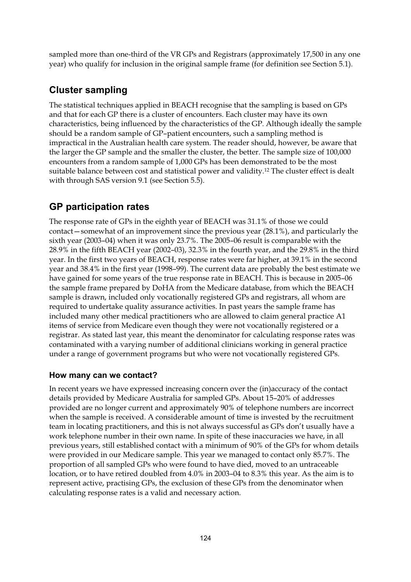sampled more than one-third of the VR GPs and Registrars (approximately 17,500 in any one year) who qualify for inclusion in the original sample frame (for definition see Section 5.1).

#### **Cluster sampling**

The statistical techniques applied in BEACH recognise that the sampling is based on GPs and that for each GP there is a cluster of encounters. Each cluster may have its own characteristics, being influenced by the characteristics of the GP. Although ideally the sample should be a random sample of GP–patient encounters, such a sampling method is impractical in the Australian health care system. The reader should, however, be aware that the larger the GP sample and the smaller the cluster, the better. The sample size of 100,000 encounters from a random sample of 1,000 GPs has been demonstrated to be the most suitable balance between cost and statistical power and validity.12 The cluster effect is dealt with through SAS version 9.1 (see Section 5.5).

#### **GP participation rates**

The response rate of GPs in the eighth year of BEACH was 31.1% of those we could contact—somewhat of an improvement since the previous year (28.1%), and particularly the sixth year (2003–04) when it was only 23.7%. The 2005–06 result is comparable with the 28.9% in the fifth BEACH year (2002–03), 32.3% in the fourth year, and the 29.8% in the third year. In the first two years of BEACH, response rates were far higher, at 39.1% in the second year and 38.4% in the first year (1998–99). The current data are probably the best estimate we have gained for some years of the true response rate in BEACH. This is because in 2005–06 the sample frame prepared by DoHA from the Medicare database, from which the BEACH sample is drawn, included only vocationally registered GPs and registrars, all whom are required to undertake quality assurance activities. In past years the sample frame has included many other medical practitioners who are allowed to claim general practice A1 items of service from Medicare even though they were not vocationally registered or a registrar. As stated last year, this meant the denominator for calculating response rates was contaminated with a varying number of additional clinicians working in general practice under a range of government programs but who were not vocationally registered GPs.

#### **How many can we contact?**

In recent years we have expressed increasing concern over the (in)accuracy of the contact details provided by Medicare Australia for sampled GPs. About 15–20% of addresses provided are no longer current and approximately 90% of telephone numbers are incorrect when the sample is received. A considerable amount of time is invested by the recruitment team in locating practitioners, and this is not always successful as GPs don't usually have a work telephone number in their own name. In spite of these inaccuracies we have, in all previous years, still established contact with a minimum of 90% of the GPs for whom details were provided in our Medicare sample. This year we managed to contact only 85.7%. The proportion of all sampled GPs who were found to have died, moved to an untraceable location, or to have retired doubled from 4.0% in 2003–04 to 8.3% this year. As the aim is to represent active, practising GPs, the exclusion of these GPs from the denominator when calculating response rates is a valid and necessary action.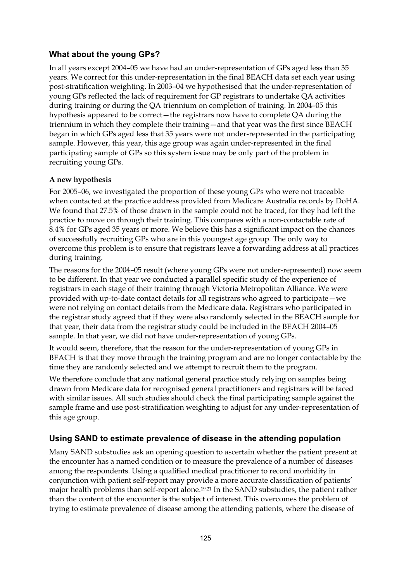#### **What about the young GPs?**

In all years except 2004–05 we have had an under-representation of GPs aged less than 35 years. We correct for this under-representation in the final BEACH data set each year using post-stratification weighting. In 2003–04 we hypothesised that the under-representation of young GPs reflected the lack of requirement for GP registrars to undertake QA activities during training or during the QA triennium on completion of training. In 2004–05 this hypothesis appeared to be correct—the registrars now have to complete QA during the triennium in which they complete their training—and that year was the first since BEACH began in which GPs aged less that 35 years were not under-represented in the participating sample. However, this year, this age group was again under-represented in the final participating sample of GPs so this system issue may be only part of the problem in recruiting young GPs.

#### **A new hypothesis**

For 2005–06, we investigated the proportion of these young GPs who were not traceable when contacted at the practice address provided from Medicare Australia records by DoHA. We found that 27.5% of those drawn in the sample could not be traced, for they had left the practice to move on through their training. This compares with a non-contactable rate of 8.4% for GPs aged 35 years or more. We believe this has a significant impact on the chances of successfully recruiting GPs who are in this youngest age group. The only way to overcome this problem is to ensure that registrars leave a forwarding address at all practices during training.

The reasons for the 2004–05 result (where young GPs were not under-represented) now seem to be different. In that year we conducted a parallel specific study of the experience of registrars in each stage of their training through Victoria Metropolitan Alliance. We were provided with up-to-date contact details for all registrars who agreed to participate—we were not relying on contact details from the Medicare data. Registrars who participated in the registrar study agreed that if they were also randomly selected in the BEACH sample for that year, their data from the registrar study could be included in the BEACH 2004–05 sample. In that year, we did not have under-representation of young GPs.

It would seem, therefore, that the reason for the under-representation of young GPs in BEACH is that they move through the training program and are no longer contactable by the time they are randomly selected and we attempt to recruit them to the program.

We therefore conclude that any national general practice study relying on samples being drawn from Medicare data for recognised general practitioners and registrars will be faced with similar issues. All such studies should check the final participating sample against the sample frame and use post-stratification weighting to adjust for any under-representation of this age group.

#### **Using SAND to estimate prevalence of disease in the attending population**

Many SAND substudies ask an opening question to ascertain whether the patient present at the encounter has a named condition or to measure the prevalence of a number of diseases among the respondents. Using a qualified medical practitioner to record morbidity in conjunction with patient self-report may provide a more accurate classification of patients' major health problems than self-report alone.<sup>19,21</sup> In the SAND substudies, the patient rather than the content of the encounter is the subject of interest. This overcomes the problem of trying to estimate prevalence of disease among the attending patients, where the disease of